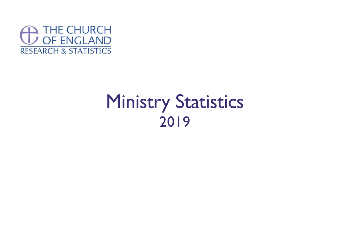

# Ministry Statistics 2019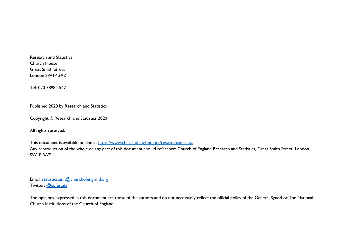Research and Statistics Church House Great Smith Street London SW1P 3AZ

Tel: 020 7898 1547

Published 2020 by Research and Statistics

Copyright © Research and Statistics 2020

All rights reserved.

This document is available on line at [https://www.churchofengland.org/researchandstats.](https://www.churchofengland.org/researchandstats)

Any reproduction of the whole or any part of this document should reference: Church of England Research and Statistics, Great Smith Street, London SW1P 3AZ

Email: [statistics.unit@churchofengland.org](mailto:statistics.unit@churchofengland.org) Twitter: [@cofestats](https://twitter.com/cofestats)

The opinions expressed in this document are those of the authors and do not necessarily reflect the official policy of the General Synod or The National Church Institutions of the Church of England.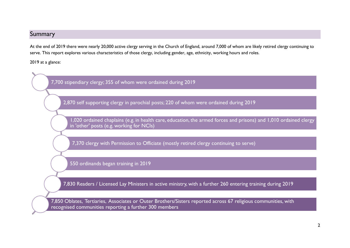# <span id="page-2-0"></span>Summary

At the end of 2019 there were nearly 20,000 active clergy serving in the Church of England, around 7,000 of whom are likely retired clergy continuing to serve. This report explores various characteristics of those clergy, including gender, age, ethnicity, working hours and roles.

2019 at a glance:

7,700 stipendiary clergy; 355 of whom were ordained during 2019

2,870 self supporting clergy in parochial posts; 220 of whom were ordained during 2019

1,020 ordained chaplains (e.g. in health care, education, the armed forces and prisons) and 1,010 ordained clergy in 'other' posts (e.g. working for NCIs)

7,370 clergy with Permission to Officiate (mostly retired clergy continuing to serve)

550 ordinands began training in 2019

7,830 Readers / Licensed Lay Ministers in active ministry, with a further 260 entering training during 2019

7,850 Oblates, Tertiaries, Associates or Outer Brothers/Sisters reported across 67 religious communities, with recognised communities reporting a further 300 members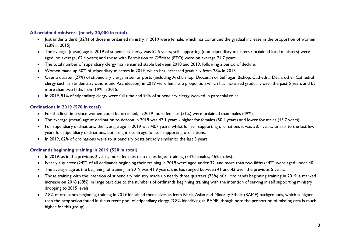# **All ordained ministers (nearly 20,000 in total)**

- Just under a third (32%) of those in ordained ministry in 2019 were female, which has continued the gradual increase in the proportion of women (28% in 2015).
- The average (mean) age in 2019 of stipendiary clergy was 52.5 years; self supporting (non stipendiary ministers / ordained local ministers) were aged, on average, 62.4 years; and those with Permission to Officiate (PTO) were on average 74.7 years.
- The total number of stipendiary clergy has remained stable between 2018 and 2019, following a period of decline.
- Women made up 30% of stipendiary minsters in 2019, which has increased gradually from 28% in 2015.
- Over a quarter (27%) of stipendiary clergy in senior posts (including Archbishop, Diocesan or Suffragan Bishop, Cathedral Dean, other Cathedral clergy such as residentiary canons and Archdeacon) in 2019 were female, a proportion which has increased gradually over the past 5 years and by more than two fifths from 19% in 2015.
- In 2019, 91% of stipendiary clergy were full time and 94% of stipendiary clergy worked in parochial roles.

## **Ordinations in 2019 (570 in total)**

- For the first time since women could be ordained, in 2019 more females (51%) were ordained than males (49%).
- The average (mean) age at ordination to deacon in 2019 was 47.1 years higher for females (50.4 years) and lower for males (43.7 years).
- For stipendiary ordinations, the average age in 2019 was 40.7 years, whilst for self supporting ordinations it was 58.1 years, similar to the last few years for stipendiary ordinations, but a slight rise in age for self supporting ordinations.
- In 2019, 62% of ordinations were to stipendiary posts broadly similar to the last 5 years

# **Ordinands beginning training in 2019 (550 in total)**

- In 2019, as in the previous 2 years, more females than males began training (54% females, 46% males).
- Nearly a quarter (24%) of all ordinands beginning their training in 2019 were aged under 32, and more than two fifths (44%) were aged under 40.
- The average age at the beginning of training in 2019 was 41.9 years; this has ranged between 41 and 43 over the previous 5 years.
- Those training with the intention of stipendiary ministry made up nearly three quarters (73%) of all ordinands beginning training in 2019, a marked increase on 2018 (68%), in large part due to the numbers of ordinands beginning training with the intention of serving in self supporting ministry dropping to 2015 levels.
- 7.8% of ordinands beginning training in 2019 identified themselves as from Black, Asian and Minority Ethnic (BAME) backgrounds, which is higher than the proportion found in the current pool of stipendiary clergy (3.8% identifying as BAME, though note the proportion of missing data is much higher for this group).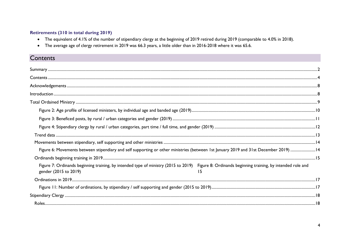# Retirements (310 in total during 2019)

- The equivalent of 4.1% of the number of stipendiary clergy at the beginning of 2019 retired during 2019 (comparable to 4.0% in 2018).
- The average age of clergy retirement in 2019 was 66.3 years, a little older than in 2016-2018 where it was 65.6.

# <span id="page-4-0"></span>Contents

| Figure 6: Movements between stipendiary and self supporting or other ministries (between 1st January 2019 and 31st December 2019) 14                                      |    |
|---------------------------------------------------------------------------------------------------------------------------------------------------------------------------|----|
|                                                                                                                                                                           |    |
| Figure 7: Ordinands beginning training, by intended type of ministry (2015 to 2019) Figure 8: Ordinands beginning training, by intended role and<br>gender (2015 to 2019) | 15 |
|                                                                                                                                                                           |    |
|                                                                                                                                                                           |    |
|                                                                                                                                                                           |    |
|                                                                                                                                                                           |    |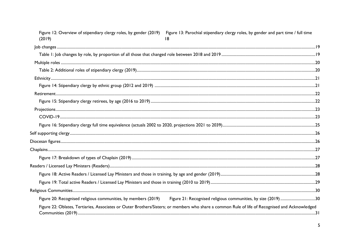| Figure 12: Overview of stipendiary clergy roles, by gender (2019)<br>(2019) | Figure 13: Parochial stipendiary clergy roles, by gender and part time / full time<br>18                                                        |
|-----------------------------------------------------------------------------|-------------------------------------------------------------------------------------------------------------------------------------------------|
|                                                                             |                                                                                                                                                 |
|                                                                             |                                                                                                                                                 |
|                                                                             |                                                                                                                                                 |
|                                                                             |                                                                                                                                                 |
|                                                                             |                                                                                                                                                 |
|                                                                             |                                                                                                                                                 |
|                                                                             |                                                                                                                                                 |
|                                                                             |                                                                                                                                                 |
|                                                                             |                                                                                                                                                 |
|                                                                             |                                                                                                                                                 |
|                                                                             |                                                                                                                                                 |
|                                                                             |                                                                                                                                                 |
|                                                                             |                                                                                                                                                 |
|                                                                             |                                                                                                                                                 |
|                                                                             |                                                                                                                                                 |
|                                                                             |                                                                                                                                                 |
|                                                                             |                                                                                                                                                 |
|                                                                             |                                                                                                                                                 |
|                                                                             |                                                                                                                                                 |
|                                                                             |                                                                                                                                                 |
|                                                                             | Figure 22: Oblates, Tertiaries, Associates or Outer Brothers/Sisters; or members who share a common Rule of life of Recognised and Acknowledged |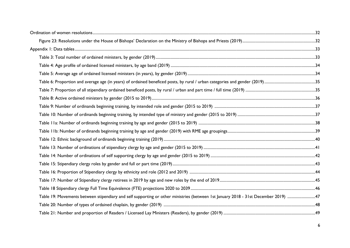| Table 19: Movements between stipendiary and self supporting or other ministries (between 1st January 2018 - 31st December 2019) 47 |  |
|------------------------------------------------------------------------------------------------------------------------------------|--|
|                                                                                                                                    |  |
|                                                                                                                                    |  |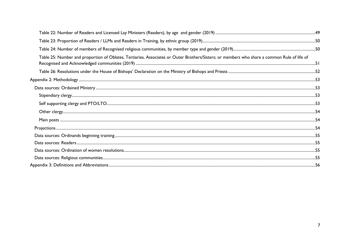| Table 25: Number and proportion of Oblates, Tertiaries, Associates or Outer Brothers/Sisters; or members who share a common Rule of life of |  |
|---------------------------------------------------------------------------------------------------------------------------------------------|--|
|                                                                                                                                             |  |
|                                                                                                                                             |  |
|                                                                                                                                             |  |
|                                                                                                                                             |  |
|                                                                                                                                             |  |
|                                                                                                                                             |  |
|                                                                                                                                             |  |
|                                                                                                                                             |  |
|                                                                                                                                             |  |
|                                                                                                                                             |  |
|                                                                                                                                             |  |
|                                                                                                                                             |  |
|                                                                                                                                             |  |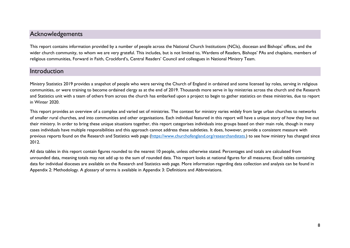# <span id="page-8-0"></span>Acknowledgements

This report contains information provided by a number of people across the National Church Institutions (NCIs), diocesan and Bishops' offices, and the wider church community, to whom we are very grateful. This includes, but is not limited to, Wardens of Readers, Bishops' PAs and chaplains, members of religious communities, Forward in Faith, Crockford's, Central Readers' Council and colleagues in National Ministry Team.

# <span id="page-8-1"></span>Introduction

Ministry Statistics 2019 provides a snapshot of people who were serving the Church of England in ordained and some licensed lay roles, serving in religious communities, or were training to become ordained clergy as at the end of 2019. Thousands more serve in lay ministries across the church and the Research and Statistics unit with a team of others from across the church has embarked upon a project to begin to gather statistics on these ministries, due to report in Winter 2020.

This report provides an overview of a complex and varied set of ministries. The context for ministry varies widely from large urban churches to networks of smaller rural churches, and into communities and other organisations. Each individual featured in this report will have a unique story of how they live out their ministry. In order to bring these unique situations together, this report categorises individuals into groups based on their main role, though in many cases individuals have multiple responsibilities and this approach cannot address these subtleties. It does, however, provide a consistent measure with previous reports found on the Research and Statistics web page [\(https://www.churchofengland.org/researchandstats.](https://www.churchofengland.org/researchandstats)) to see how ministry has changed since 2012.

All data tables in this report contain figures rounded to the nearest 10 people, unless otherwise stated. Percentages and totals are calculated from unrounded data, meaning totals may not add up to the sum of rounded data. This report looks at national figures for all measures; Excel tables containing data for individual dioceses are available on the Research and Statistics web page. More information regarding data collection and analysis can be found in [Appendix 2: Methodology.](#page-53-0) A glossary of terms is available in [Appendix 3: Definitions and Abbreviations.](#page-56-0)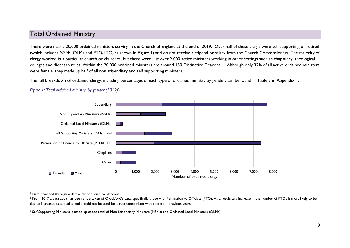# <span id="page-9-0"></span>Total Ordained Ministry

There were nearly 20,000 ordained ministers serving in the Church of England at the end of 2019. Over half of these clergy were self supporting or retired (which includes NSMs, OLMs and PTO/LTO, as shown in Figure 1) and do not receive a stipend or salary from the Church Commissioners. The majority of clergy worked in a particular church or churches, but there were just over 2,000 active ministers working in other settings such as chaplaincy, theological colleges and diocesan roles. Within the 20,000 ordained ministers are around 150 Distinctive Deacons<sup>1</sup>. Although only 32% of all active ordained ministers were female, they made up half of all non stipendiary and self supporting ministers.

The full breakdown of ordained clergy, including percentages of each type of ordained ministry by gender, can be found in [Table 3](#page-33-1) in Appendix 1.



# *Figure 1: Total ordained ministry, by gender (2019)* 2, 3

<sup>1</sup> Data provided through a data audit of distinctive deacons.

<sup>&</sup>lt;sup>2</sup> From 2017 a data audit has been undertaken of Crockford's data, specifically those with Permission to Officiate (PTO). As a result, any increase in the number of PTOs is most likely to be due to increased data quality and should not be used for direct comparison with data from previous years.

<sup>&</sup>lt;sup>3</sup> Self Supporting Ministers is made up of the total of Non Stipendiary Ministers (NSMs) and Ordained Local Ministers (OLMs).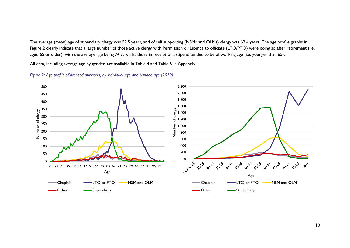The average (mean) age of stipendiary clergy was 52.5 years, and of self supporting (NSMs and OLMs) clergy was 62.4 years. The age profile graphs in [Figure 2](#page-10-0) clearly indicate that a large number of those active clergy with Permission or Licence to officiate (LTO/PTO) were doing so after retirement (i.e. aged 65 or older), with the average age being 74.7, whilst those in receipt of a stipend tended to be of working age (i.e. younger than 65).

All data, including average age by gender, are available in [Table 4](#page-34-0) and [Table 5](#page-34-1) in Appendix 1.

<span id="page-10-0"></span>*Figure 2: Age profile of licensed ministers, by individual age and banded age (2019)*

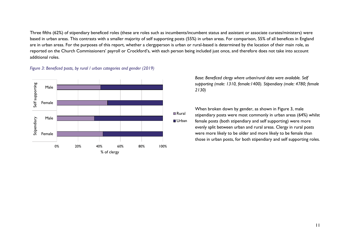Three fifths (62%) of stipendiary beneficed roles (these are roles such as incumbents/incumbent status and assistant or associate curates/ministers) were based in urban areas. This contrasts with a smaller majority of self supporting posts (55%) in urban areas. For comparison, 55% of all benefices in England are in urban areas. For the purposes of this report, whether a clergyperson is urban or rural-based is determined by the location of their main role, as reported on the Church Commissioners' payroll or Crockford's, with each person being included just once, and therefore does not take into account additional roles.



<span id="page-11-0"></span>*Figure 3: Beneficed posts, by rural / urban categories and gender (2019)* 

*Base: Beneficed clergy where urban/rural data were available. Self supporting (male: 1310, female:1400). Stipendiary (male: 4780; female 2130)*

When broken down by gender, as shown in Figure 3, male stipendiary posts were most commonly in urban areas (64%) whilst female posts (both stipendiary and self supporting) were more evenly split between urban and rural areas. Clergy in rural posts were more likely to be older and more likely to be female than those in urban posts, for both stipendiary and self supporting roles.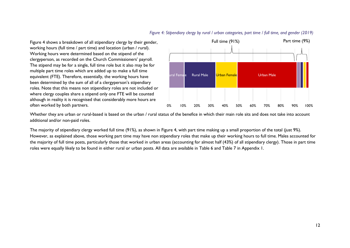Figure 4 shows a breakdown of all stipendiary clergy by their gender, working hours (full time / part time) and location (urban / rural). Working hours were determined based on the stipend of the clergyperson, as recorded on the Church Commissioners' payroll. The stipend may be for a single, full time role but it also may be for multiple part time roles which are added up to make a full time equivalent (FTE). Therefore, essentially, the working hours have been determined by the sum of all of a clergyperson's stipendiary roles. Note that this means non stipendiary roles are not included or where clergy couples share a stipend only one FTE will be counted although in reality it is recognised that considerably more hours are often worked by both partners.

# iral Fema**l**e - Rural Male - - <mark>Urban Female</mark> 1988 - - - - - Urban Male Full time (91%) Part time (9%)

0% 10% 20% 30% 40% 50% 60% 70% 80% 90% 100%

<span id="page-12-0"></span>*Figure 4: Stipendiary clergy by rural / urban categories, part time / full time, and gender (2019)*

Whether they are urban or rural-based is based on the urban / rural status of the benefice in which their main role sits and does not take into account additional and/or non-paid roles.

The majority of stipendiary clergy worked full time (91%), as shown in Figure 4, with part time making up a small proportion of the total (just 9%). However, as explained above, those working part time may have non stipendiary roles that make up their working hours to full time. Males accounted for the majority of full time posts, particularly those that worked in urban areas (accounting for almost half (43%) of all stipendiary clergy). Those in part time roles were equally likely to be found in either rural or urban posts. All data are available in [Table 6](#page-35-0) and [Table 7](#page-35-1) in Appendix 1.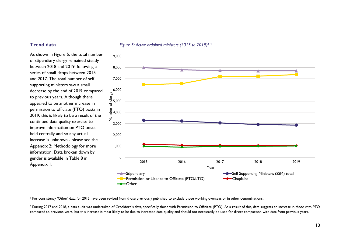As shown in Figure 5, the total number of stipendiary clergy remained steady between 2018 and 2019, following a series of small drops between 2015 and 2017. The total number of self supporting ministers saw a small decrease by the end of 2019 compared to previous years. Although there appeared to be another increase in permission to officiate (PTO) posts in 2019, this is likely to be a result of the continued data quality exercise to improve information on PTO posts held centrally and so any actual increase is unknown - please see the [Appendix 2: Methodology](#page-53-0) for more information. Data broken down by gender is available in [Table 8](#page-36-0) in Appendix 1.



#### <span id="page-13-0"></span>**Trend data** *Figure 5: Active ordained ministers (2015 to 2019)<sup>4.5</sup>*

<sup>&</sup>lt;sup>4</sup> For consistency 'Other' data for 2015 have been revised from those previously published to exclude those working overseas or in other denominations.

<sup>5</sup> During 2017 and 2018, a data audit was undertaken of Crockford's data, specifically those with Permission to Officiate (PTO). As a result of this, data suggests an increase in those with PTO compared to previous years, but this increase is most likely to be due to increased data quality and should not necessarily be used for direct comparison with data from previous years.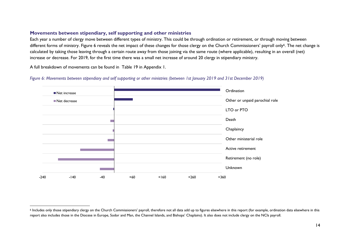# <span id="page-14-0"></span>**Movements between stipendiary, self supporting and other ministries**

Each year a number of clergy move between different types of ministry. This could be through ordination or retirement, or through moving between different forms of ministry. [Figure 6](#page-14-1) reveals the net impact of these changes for those clergy on the Church Commissioners' payroll only<sup>6</sup>. The net change is calculated by taking those leaving through a certain route away from those joining via the same route (where applicable), resulting in an overall (net) increase or decrease. For 2019, for the first time there was a small net increase of around 20 clergy in stipendiary ministry.

A full breakdown of movements can be found in [Table 19](#page-47-1) in Appendix 1.

 $\overline{a}$ 



<span id="page-14-1"></span>*Figure 6: Movements between stipendiary and self supporting or other ministries (between 1st January 2019 and 31st December 2019)*

<sup>6</sup> Includes only those stipendiary clergy on the Church Commissioners' payroll, therefore not all data add up to figures elsewhere in this report (for example, ordination data elsewhere in this report also includes those in the Diocese in Europe, Sodor and Man, the Channel Islands, and Bishops' Chaplains). It also does not include clergy on the NCIs payroll.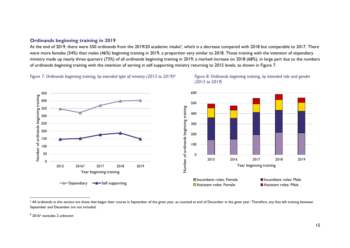#### <span id="page-15-0"></span>**Ordinands beginning training in 2019**

At the end of 2019, there were 550 ordinands from the 2019/20 academic intake<sup>7</sup>, which is a decrease compared with 2018 but comparable to 2017. There were more females (54%) than males (46%) beginning training in 2019, a proportion very similar to 2018. Those training with the intention of stipendiary ministry made up nearly three quarters (73%) of all ordinands beginning training in 2019, a marked increase on 2018 (68%), in large part due to the numbers of ordinands beginning training with the intention of serving in self supporting ministry returning to 2015 levels, as shown in [Figure 7.](#page-15-1) 

<span id="page-15-1"></span>*Figure 7: Ordinands beginning training, by intended type of ministry (2015 to 2019)*





<sup>7</sup> All ordinands in this section are those that began their course in September of the given year, as counted at end of December in the given year. Therefore, any that left training between September and December are not included.

 $^{\rm 8}$  2016\* excludes 2 unknown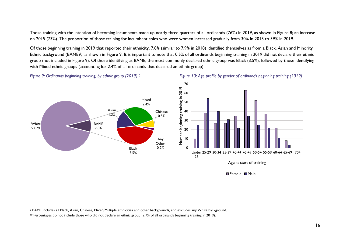Those training with the intention of becoming incumbents made up nearly three quarters of all ordinands (76%) in 2019, as shown in Figure 8; an increase on 2015 (73%). The proportion of those training for incumbent roles who were women increased gradually from 30% in 2015 to 39% in 2019.

Of those beginning training in 2019 that reported their ethnicity, 7.8% (similar to 7.9% in 2018) identified themselves as from a Black, Asian and Minority Ethnic background (BAME) <sup>9</sup>, as shown in [Figure 9.](#page-16-0) It is important to note that 0.5% of all ordinands beginning training in 2019 did not declare their ethnic group (not included in [Figure 9\)](#page-16-0). Of those identifying as BAME, the most commonly declared ethnic group was Black (3.5%), followed by those identifying with Mixed ethnic groups (accounting for 2.4% of all ordinands that declared an ethnic group).

<span id="page-16-0"></span>*Figure 9: Ordinands beginning training, by ethnic group (2019)*

 $\overline{a}$ 









<sup>9</sup> BAME includes all Black, Asian, Chinese, Mixed/Multiple ethnicities and other backgrounds, and excludes any White background.

<sup>10</sup> Percentages do not include those who did not declare an ethnic group (2.7% of all ordinands beginning training in 2019).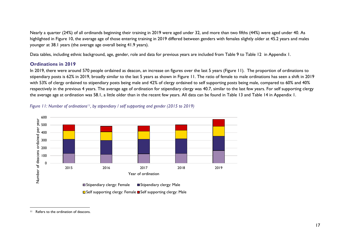Nearly a quarter (24%) of all ordinands beginning their training in 2019 were aged under 32, and more than two fifths (44%) were aged under 40. As highlighted in Figure 10, the average age of those entering training in 2019 differed between genders with females slightly older at 45.2 years and males younger at 38.1 years (the average age overall being 41.9 years).

Data tables, including ethnic background, age, gender, role and data for previous years are included from [Table 9](#page-37-0) to Table 12 in Appendix 1.

# <span id="page-17-0"></span>**Ordinations in 2019**

In 2019, there were around 570 people ordained as deacon, an increase on figures over the last 5 years (Figure 11). The proportion of ordinations to stipendiary posts is 62% in 2019, broadly similar to the last 5 years as shown in [Figure 11.](#page-17-1) The ratio of female to male ordinations has seen a shift in 2019 with 53% of clergy ordained to stipendiary posts being male and 42% of clergy ordained to self supporting posts being male, compared to 60% and 40% respectively in the previous 4 years. The average age of ordination for stipendiary clergy was 40.7, similar to the last few years. For self supporting clergy the average age at ordination was 58.1, a little older than in the recent few years. All data can be found in [Table 13](#page-41-0) and [Table 14](#page-42-0) in Appendix 1.



<span id="page-17-1"></span>

<sup>&</sup>lt;sup>11</sup> Refers to the ordination of deacons.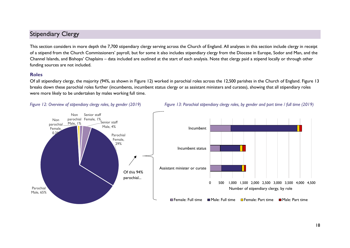# <span id="page-18-0"></span>Stipendiary Clergy

This section considers in more depth the 7,700 stipendiary clergy serving across the Church of England. All analyses in this section include clergy in receipt of a stipend from the Church Commissioners' payroll, but for some it also includes stipendiary clergy from the Diocese in Europe, Sodor and Man, and the Channel Islands, and Bishops' Chaplains – data included are outlined at the start of each analysis. Note that clergy paid a stipend locally or through other funding sources are not included.

#### <span id="page-18-1"></span>**Roles**

Of all stipendiary clergy, the majority (94%, as shown in [Figure 12\)](#page-18-2) worked in parochial roles across the 12,500 parishes in the Church of England. Figure 13 breaks down these parochial roles further (incumbents, incumbent status clergy or as assistant ministers and curates), showing that all stipendiary roles were more likely to be undertaken by males working full time.





<span id="page-18-2"></span>*Figure 12: Overview of stipendiary clergy roles, by gender (2019) Figure 13: Parochial stipendiary clergy roles, by gender and part time / full time (2019)*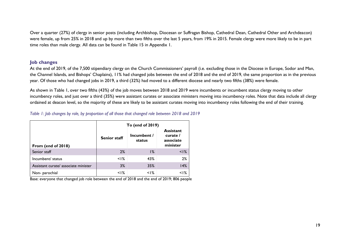Over a quarter (27%) of clergy in senior posts (including Archbishop, Diocesan or Suffragan Bishop, Cathedral Dean, Cathedral Other and Archdeacon) were female, up from 25% in 2018 and up by more than two fifths over the last 5 years, from 19% in 2015. Female clergy were more likely to be in part time roles than male clergy. All data can be found in [Table 15](#page-43-0) in Appendix 1.

# <span id="page-19-0"></span>**Job changes**

At the end of 2019, of the 7,500 stipendiary clergy on the Church Commissioners' payroll (i.e. excluding those in the Diocese in Europe, Sodor and Man, the Channel Islands, and Bishops' Chaplains), 11% had changed jobs between the end of 2018 and the end of 2019, the same proportion as in the previous year. Of those who had changed jobs in 2019, a third (32%) had moved to a different diocese and nearly two fifths (38%) were female.

As shown in [Table 1,](#page-19-1) over two fifths (43%) of the job moves between 2018 and 2019 were incumbents or incumbent status clergy moving to other incumbency roles, and just over a third (35%) were assistant curates or associate ministers moving into incumbency roles. Note that data include all clergy ordained at deacon level, so the majority of these are likely to be assistant curates moving into incumbency roles following the end of their training.

## <span id="page-19-1"></span>*Table 1: Job changes by role, by proportion of all those that changed role between 2018 and 2019*

|                                     | To (end of 2019)    |                       |                                                       |  |  |  |  |  |  |
|-------------------------------------|---------------------|-----------------------|-------------------------------------------------------|--|--|--|--|--|--|
| From (end of 2018)                  | <b>Senior staff</b> | Incumbent /<br>status | <b>Assistant</b><br>curate /<br>associate<br>minister |  |  |  |  |  |  |
| Senior staff                        | 2%                  | 1%                    | $<$  %                                                |  |  |  |  |  |  |
| Incumbent/ status                   | $\leq$   %          | 43%                   | 2%                                                    |  |  |  |  |  |  |
| Assistant curate/associate minister | 3%                  | 35%                   | 14%                                                   |  |  |  |  |  |  |
| Non-parochial                       | $\leq$   %          | $\leq$   %            | $<$ l%                                                |  |  |  |  |  |  |

Base: everyone that changed job role between the end of 2018 and the end of 2019; 806 people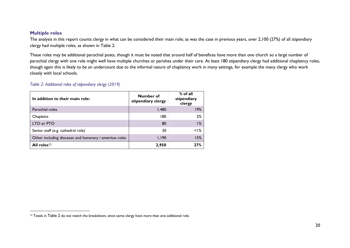## <span id="page-20-0"></span>**Multiple roles**

The analysis in this report counts clergy in what can be considered their main role; as was the case in previous years, over 2,100 (27%) of all stipendiary clergy had multiple roles, as shown in [Table 2.](#page-20-1)

These roles may be additional parochial posts, though it must be noted that around half of benefices have more than one church so a large number of parochial clergy with one role might well have multiple churches or parishes under their care. At least 180 stipendiary clergy had additional chaplaincy roles, though again this is likely to be an undercount due to the informal nature of chaplaincy work in many settings, for example the many clergy who work closely with local schools.

# <span id="page-20-1"></span>*Table 2: Additional roles of stipendiary clergy (2019)*

| In addition to their main role:                        | Number of<br>stipendiary clergy | $%$ of all<br>stipendiary<br>clergy |
|--------------------------------------------------------|---------------------------------|-------------------------------------|
| Parochial roles                                        | 1,480                           | 19%                                 |
| Chaplains                                              | 180                             | 2%                                  |
| LTO or PTO                                             | 80                              | 1%                                  |
| Senior staff (e.g. cathedral role)                     | 30                              | $<$ $\frac{8}{6}$                   |
| Other including diocesan and honorary / emeritus roles | 1,190                           | 15%                                 |
| All roles <sup>12</sup>                                | 2,950                           | 27%                                 |

<sup>&</sup>lt;sup>12</sup> Totals in [Table 2](#page-20-1) do not match the breakdown, since some clergy have more than one additional role.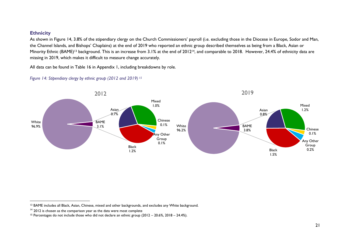#### <span id="page-21-0"></span>**Ethnicity**

As shown in [Figure 14,](#page-21-1) 3.8% of the stipendiary clergy on the Church Commissioners' payroll (i.e. excluding those in the Diocese in Europe, Sodor and Man, the Channel Islands, and Bishops' Chaplains) at the end of 2019 who reported an ethnic group described themselves as being from a Black, Asian or Minority Ethnic (BAME)<sup>13</sup> background. This is an increase from 3.1% at the end of 2012<sup>14</sup>, and comparable to 2018. However, 24.4% of ethnicity data are missing in 2019, which makes it difficult to measure change accurately.

All data can be found in [Table 16](#page-44-0) in Appendix 1, including breakdowns by role.



## <span id="page-21-1"></span>*Figure 14: Stipendiary clergy by ethnic group (2012 and 2019) 15*

 <sup>13</sup> BAME includes all Black, Asian, Chinese, mixed and other backgrounds, and excludes any White background.

<sup>&</sup>lt;sup>14</sup> 2012 is chosen as the comparison year as the data were most complete

<sup>15</sup> Percentages do not include those who did not declare an ethnic group (2012 – 20.6%, 2018 – 24.4%).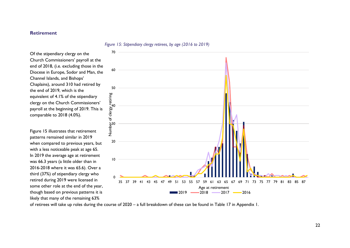#### <span id="page-22-0"></span>**Retirement**

#### <span id="page-22-2"></span><span id="page-22-1"></span>*Figure 15: Stipendiary clergy retirees, by age (2016 to 2019)*

Of the stipendiary clergy on the Church Commissioners' payroll at the end of 2018, (i.e. excluding those in the Diocese in Europe, Sodor and Man, the Channel Islands, and Bishops' Chaplains), around 310 had retired by the end of 2019, which is the equivalent of 4.1% of the stipendiary clergy on the Church Commissioners' payroll at the beginning of 2019. This is comparable to 2018 (4.0%).

[Figure 15](#page-22-2) illustrates that retirement patterns remained similar in 2019 when compared to previous years, but with a less noticeable peak at age 65. In 2019 the average age at retirement was 66.3 years (a little older than in 2016-2018 where it was 65.6). Over a third (37%) of stipendiary clergy who retired during 2019 were licensed in some other role at the end of the year, though based on previous patterns it is likely that many of the remaining 63%



of retirees will take up roles during the course of 2020 – a full breakdown of these can be found in [Table 17](#page-45-0) in Appendix 1.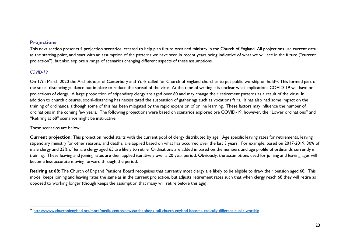# <span id="page-23-0"></span>**Projections**

This next section presents 4 projection scenarios, created to help plan future ordained ministry in the Church of England. All projections use current data as the starting point, and start with an assumption of the patterns we have seen in recent years being indicative of what we will see in the future ("current projection"), but also explore a range of scenarios changing different aspects of these assumptions.

# <span id="page-23-1"></span>*COVID-19*

 $\overline{a}$ 

On 17th March 2020 the Archbishops of Canterbury and York called for Church of England churches to put public worship on hold16. This formed part of the social-distancing guidance put in place to reduce the spread of the virus. At the time of writing it is unclear what implications COVID-19 will have on projections of clergy. A large proportion of stipendiary clergy are aged over 60 and may change their retirement patterns as a result of the virus. In addition to church closures, social-distancing has necessitated the suspension of gatherings such as vocations fairs. It has also had some impact on the training of ordinands, although some of this has been mitigated by the rapid expansion of online learning. These factors may influence the number of ordinations in the coming few years. The following projections were based on scenarios explored pre COVID-19, however, the "Lower ordinations" and "Retiring at 68" scenarios might be instructive.

## These scenarios are below:

**Current projection:** This projection model starts with the current pool of clergy distributed by age. Age specific leaving rates for retirements, leaving stipendiary ministry for other reasons, and deaths, are applied based on what has occurred over the last 3 years. For example, based on 2017-2019, 30% of male clergy and 23% of female clergy aged 65 are likely to retire. Ordinations are added in based on the numbers and age profile of ordinands currently in training. These leaving and joining rates are then applied iteratively over a 20 year period. Obviously, the assumptions used for joining and leaving ages will become less accurate moving forward through the period.

Retiring at 68: The Church of England Pensions Board recognises that currently most clergy are likely to be eligible to draw their pension aged 68. This model keeps joining and leaving rates the same as in the current projection, but adjusts retirement rates such that when clergy reach 68 they will retire as opposed to working longer (though keeps the assumption that many will retire before this age).

<sup>&</sup>lt;sup>16</sup> <https://www.churchofengland.org/more/media-centre/news/archbishops-call-church-england-become-radically-different-public-worship>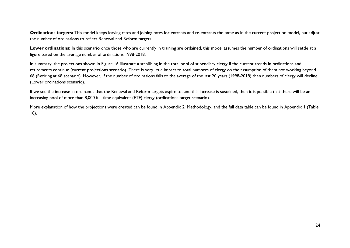Ordinations targets: This model keeps leaving rates and joining rates for entrants and re-entrants the same as in the current projection model, but adjust the number of ordinations to reflect Renewal and Reform targets.

Lower ordinations: In this scenario once those who are currently in training are ordained, this model assumes the number of ordinations will settle at a figure based on the average number of ordinations 1998-2018.

In summary, the projections shown in Figure 16 illustrate a stabilising in the total pool of stipendiary clergy if the current trends in ordinations and retirements continue (current projections scenario). There is very little impact to total numbers of clergy on the assumption of them not working beyond 68 (Retiring at 68 scenario). However, if the number of ordinations falls to the average of the last 20 years (1998-2018) then numbers of clergy will decline (Lower ordinations scenario).

If we see the increase in ordinands that the Renewal and Reform targets aspire to, and this increase is sustained, then it is possible that there will be an increasing pool of more than 8,000 full time equivalent (FTE) clergy (ordinations target scenario).

More explanation of how the projections were created can be found in [Appendix 2: Methodology,](#page-53-0) and the full data table can be found in Appendix 1 [\(Table](#page-46-0)  [18\)](#page-46-0).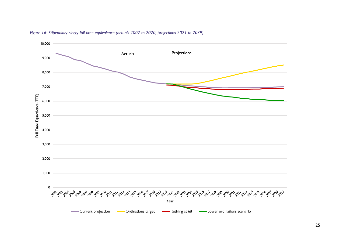

# <span id="page-25-0"></span>*Figure 16: Stipendiary clergy full time equivalence (actuals 2002 to 2020, projections 2021 to 2039)*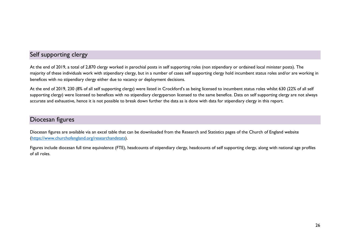# <span id="page-26-0"></span>Self supporting clergy

At the end of 2019, a total of 2,870 clergy worked in parochial posts in self supporting roles (non stipendiary or ordained local minister posts). The majority of these individuals work with stipendiary clergy, but in a number of cases self supporting clergy hold incumbent status roles and/or are working in benefices with no stipendiary clergy either due to vacancy or deployment decisions.

At the end of 2019, 230 (8% of all self supporting clergy) were listed in Crockford's as being licensed to incumbent status roles whilst 630 (22% of all self supporting clergy) were licensed to benefices with no stipendiary clergyperson licensed to the same benefice. Data on self supporting clergy are not always accurate and exhaustive, hence it is not possible to break down further the data as is done with data for stipendiary clergy in this report.

# <span id="page-26-1"></span>Diocesan figures

Diocesan figures are available via an excel table that can be downloaded from the Research and Statistics pages of the Church of England website [\(https://www.churchofengland.org/researchandstats\)](https://www.churchofengland.org/researchandstats).

Figures include diocesan full time equivalence (FTE), headcounts of stipendiary clergy, headcounts of self supporting clergy, along with national age profiles of all roles.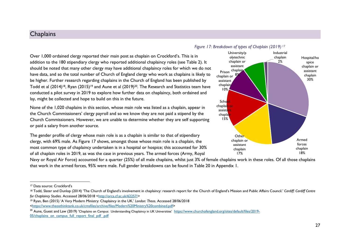# <span id="page-27-0"></span>**Chaplains**

# Over 1,000 ordained clergy reported their main post as chaplain on Crockford's. This is in addition to the 180 stipendiary clergy who reported additional chaplaincy roles (see [Table 2\)](#page-20-1). It should be noted that many other clergy may have additional chaplaincy roles for which we do not have data, and so the total number of Church of England clergy who work as chaplains is likely to be higher. Further research regarding chaplains in the Church of England has been published by Todd et al (2014)<sup>18</sup>, Ryan (2015)<sup>19</sup> and Aune et al (2019)<sup>20</sup>. The Research and Statistics team have conducted a pilot survey in 2019 to explore how further data on chaplaincy, both ordained and lay, might be collected and hope to build on this in the future.

None of the 1,020 chaplains in this section, whose main role was listed as a chaplain, appear in the Church Commissioners' clergy payroll and so we know they are not paid a stipend by the Church Commissioners. However, we are unable to determine whether they are self supporting or paid a salary from another source.

The gender profile of clergy whose main role is as a chaplain is similar to that of stipendiary clergy, with 69% male. As [Figure 17](#page-27-1) shows, amongst those whose main role is a chaplain, the most common type of chaplaincy undertaken is in a hospital or hospice; this accounted for 30% of all chaplain roles in 2019, as was the case in previous years. The armed forces (Army, Royal

Navy or Royal Air Force) accounted for a quarter (25%) of all male chaplains, whilst just 3% of female chaplains work in these roles. Of all those chaplains that work in the armed forces, 95% were male. Full gender breakdowns can be found in [Table 20](#page-48-0) in Appendix 1.

<sup>20</sup> Aune, Guest and Law (2019) 'Chaplains on Campus: Understanding Chaplaincy in UK Universities' [https://www.churchofengland.org/sites/default/files/2019-](https://www.churchofengland.org/sites/default/files/2019-05/chaplains_on_campus_full_report_final_pdf_.pdf) [05/chaplains\\_on\\_campus\\_full\\_report\\_final\\_pdf\\_.pdf](https://www.churchofengland.org/sites/default/files/2019-05/chaplains_on_campus_full_report_final_pdf_.pdf)

<span id="page-27-1"></span>

#### 27

<sup>17</sup> Data source: Crockford's

<sup>&</sup>lt;sup>18</sup> Todd, Slater and Dunlop (2014) 'The Church of England's involvement in chaplaincy: research report for the Church of England's Mission and Public Affairs Council.' *Cardiff: Cardiff: Cardiff: Cardiff: Cardiff* Centre *for Chaplaincy Studies. Accessed 28/06/2018* [<http://orca.cf.ac.uk/62257/>](http://orca.cf.ac.uk/62257/)

<sup>19</sup> Ryan, Ben (2015) 'A Very Modern Ministry: Chaplaincy in the UK.' *London: Theos.* Accessed 28/06/2018 [<https://www.theosthinktank.co.uk/cmsfiles/archive/files/Modern%20Ministry%20combined.pdf>](https://www.theosthinktank.co.uk/cmsfiles/archive/files/Modern%20Ministry%20combined.pdf)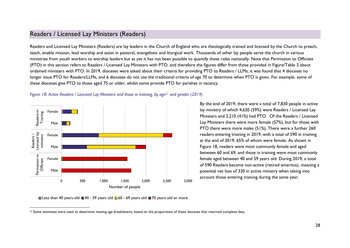# <span id="page-28-0"></span>Readers / Licensed Lay Ministers (Readers)

Readers and Licensed Lay Ministers (Readers) are lay leaders in the Church of England who are theologically trained and licensed by the Church to preach, teach, enable mission, lead worship and assist in pastoral, evangelistic and liturgical work. Thousands of other lay people serve the church in various ministries from youth workers to worship leaders but as yet it has not been possible to quantify these roles nationally. Note that Permission to Officiate (PTO) in this section refers to Readers / Licensed Lay Ministers with PTO, and therefore the figures differ from those provided in Figure[/Table 3](#page-33-1) about ordained ministers with PTO. In 2019, dioceses were asked about their criteria for providing PTO to Readers / LLMs; it was found that 4 dioceses no longer issue PTO for Readers/LLMs, and 6 dioceses do not use the traditional criteria of age 70 to determine when PTO is given. For example, some of these dioceses give PTO to those aged 75 or older, whilst some provide PTO for parishes in vacancy.



<span id="page-28-1"></span>*Figure 18: Active Readers / Licensed Lay Ministers and those in training, by age<sup>21</sup> and gender (2019)* 

By the end of 2019, there were a total of 7,830 people in active lay ministry of which 4,620 (59%) were Readers / Licensed Lay Ministers and 3,210 (41%) had PTO. Of the Readers / Licensed Lay Ministers there were more female (57%), but for those with PTO there were more males (51%). There were a further 260 readers entering training in 2019, with a total of 590 in training at the end of 2019; 65% of whom were female. As shown in Figure 18, readers were most commonly female and aged between 60 and 69, and those in training were most commonly female aged between 40 and 59 years old. During 2019, a total of 590 Readers became non-active (retired emeritus), meaning a potential net loss of 330 in active ministry when taking into account those entering training during the same year.

Less than 40 years old  $\blacksquare$  40 - 59 years old  $\blacksquare$  60 - 69 years old  $\blacksquare$  70 years old or more

<sup>&</sup>lt;sup>21</sup> Some estimates were used to determine missing age breakdowns, based on the proportions of those dioceses that returned complete data.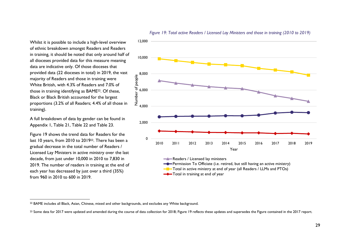Whilst it is possible to include a high-level overview of ethnic breakdown amongst Readers and Readers in training, it should be noted that only around half of all dioceses provided data for this measure meaning data are indicative only. Of those dioceses that provided data (22 dioceses in total) in 2019, the vast majority of Readers and those in training were White British, with 4.3% of Readers and 7.0% of those in training identifying as BAME22. Of these, Black or Black British accounted for the largest proportions (3.2% of all Readers; 4.4% of all those in training).

A full breakdown of data by gender can be found in Appendix 1, [Table 21,](#page-49-0) [Table 22](#page-49-1) and Table 23.

[Figure 19](#page-29-0) shows the trend data for Readers for the last 10 years, from 2010 to 201923. There has been a gradual decrease in the total number of Readers / Licensed Lay Ministers in active ministry over the last decade, from just under 10,000 in 2010 to 7,830 in 2019. The number of readers in training at the end of each year has decreased by just over a third (35%) from 960 in 2010 to 600 in 2019.



**-**Permission To Officiate (i.e. retired, but still having an active ministry)  $\blacksquare$  Total in active ministry at end of year (all Readers / LLMs and PTOs)

<span id="page-29-0"></span>*Figure 19: Total active Readers / Licensed Lay Ministers and those in training (2010 to 2019)*

Total in training at end of year

 <sup>22</sup> BAME includes all Black, Asian, Chinese, mixed and other backgrounds, and excludes any White background.

<sup>&</sup>lt;sup>23</sup> Some data for 2017 were updated and amended during the course of data collection for 2018; Figure 19 reflects these updates and supersedes the Figure contained in the 2017 report.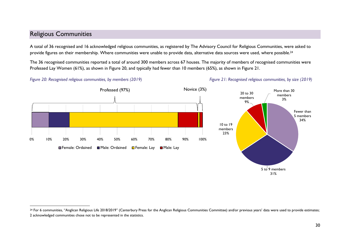# <span id="page-30-0"></span>Religious Communities

 $\overline{a}$ 

A total of 36 recognised and 16 acknowledged religious communities, as registered by The Advisory Council for Religious Communities, were asked to provide figures on their membership. Where communities were unable to provide data, alternative data sources were used, where possible.<sup>24</sup>

The 36 recognised communities reported a total of around 300 members across 67 houses. The majority of members of recognised communities were Professed Lay Women (61%), as shown in [Figure 20,](#page-30-1) and typically had fewer than 10 members (65%), as shown in Figure 21.

<span id="page-30-1"></span>



5 to 9 members 31%



Fewer than 5 members 34%

More than 30 members 3%

 $24$  For 6 communities, "Anglican Religious Life 2018/2019" (Canterbury Press for the Anglican Religious Communities Committee) and/or previous years' data were used to provide estimates; 2 acknowledged communities chose not to be represented in the statistics.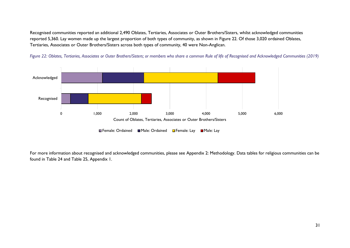Recognised communities reported an additional 2,490 Oblates, Tertiaries, Associates or Outer Brothers/Sisters, whilst acknowledged communities reported 5,360. Lay women made up the largest proportion of both types of community, as shown in [Figure 22.](#page-31-0) Of those 3,020 ordained Oblates, Tertiaries, Associates or Outer Brothers/Sisters across both types of community, 40 were Non-Anglican.



<span id="page-31-0"></span>*Figure 22: Oblates, Tertiaries, Associates or Outer Brothers/Sisters; or members who share a common Rule of life of Recognised and Acknowledged Communities (2019)*

For more information about recognised and acknowledged communities, please see [Appendix 2: Methodology.](#page-53-0) Data tables for religious communities can be found in Table 24 and [Table 25,](#page-51-0) Appendix 1.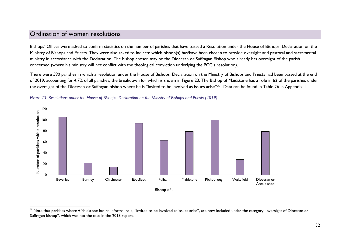# <span id="page-32-0"></span>Ordination of women resolutions

 $\overline{a}$ 

Bishops' Offices were asked to confirm statistics on the number of parishes that have passed a Resolution under the House of Bishops' Declaration on the Ministry of Bishops and Priests. They were also asked to indicate which bishop(s) has/have been chosen to provide oversight and pastoral and sacramental ministry in accordance with the Declaration. The bishop chosen may be the Diocesan or Suffragan Bishop who already has oversight of the parish concerned (where his ministry will not conflict with the theological conviction underlying the PCC's resolution).

There were 590 parishes in which a resolution under the House of Bishops' Declaration on the Ministry of Bishops and Priests had been passed at the end of 2019, accounting for 4.7% of all parishes, the breakdown for which is shown in Figure 23. The Bishop of Maidstone has a role in 62 of the parishes under the oversight of the Diocesan or Suffragan bishop where he is "invited to be involved as issues arise"<sup>25</sup> . Data can be found in Table 26 in Appendix 1.



<span id="page-32-1"></span>*Figure 23: Resolutions under the House of Bishops' Declaration on the Ministry of Bishops and Priests (2019)*

<sup>&</sup>lt;sup>25</sup> Note that parishes where +Maidstone has an informal role, "invited to be involved as issues arise", are now included under the category "oversight of Diocesan or Suffragan bishop", which was not the case in the 2018 report.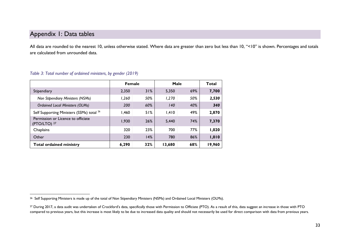# <span id="page-33-0"></span>Appendix 1: Data tables

All data are rounded to the nearest 10, unless otherwise stated. Where data are greater than zero but less than 10, "<10" is shown. Percentages and totals are calculated from unrounded data.

|                                                      |       | <b>Female</b> |        | Male | Total  |
|------------------------------------------------------|-------|---------------|--------|------|--------|
| Stipendiary                                          | 2,350 | 31%           | 5,350  | 69%  | 7,700  |
| Non Stipendiary Ministers (NSMs)                     | 1,260 | 50%           | 1,270  | 50%  | 2,530  |
| <b>Ordained Local Ministers (OLMs)</b>               | 200   | 60%           | 140    | 40%  | 340    |
| Self Supporting Ministers (SSMs) total <sup>26</sup> | 1,460 | 51%           | 1,410  | 49%  | 2,870  |
| Permission or Licence to officiate<br>(PTO/LTO) 27   | 1.930 | 26%           | 5.440  | 74%  | 7,370  |
| Chaplains                                            | 320   | 23%           | 700    | 77%  | 1,020  |
| Other                                                | 230   | 14%           | 780    | 86%  | 1,010  |
| <b>Total ordained ministry</b>                       | 6,290 | 32%           | 13,680 | 68%  | 19,960 |

#### <span id="page-33-1"></span>*Table 3: Total number of ordained ministers, by gender (2019)*

<sup>&</sup>lt;sup>26</sup> Self Supporting Ministers is made up of the total of Non Stipendiary Ministers (NSMs) and Ordained Local Ministers (OLMs).

<sup>&</sup>lt;sup>27</sup> During 2017, a data audit was undertaken of Crockford's data, specifically those with Permission to Officiate (PTO). As a result of this, data suggest an increase in those with PTO compared to previous years, but this increase is most likely to be due to increased data quality and should not necessarily be used for direct comparison with data from previous years.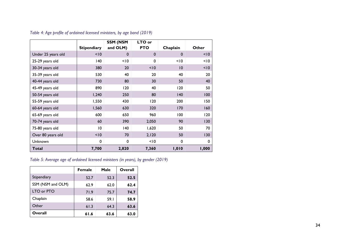|                    |                    | <b>SSM (NSM</b> | LTO or       |                 |       |
|--------------------|--------------------|-----------------|--------------|-----------------|-------|
|                    | <b>Stipendiary</b> | and OLM)        | <b>PTO</b>   | Chaplain        | Other |
| Under 25 years old | < 10               | 0               | $\mathbf{0}$ | $\mathbf 0$     | < 10  |
| 25-29 years old    | 140                | < 10            | $\mathbf{0}$ | < 10            | < 10  |
| 30-34 years old    | 380                | 20              | < 10         | $\overline{10}$ | < 10  |
| 35-39 years old    | 530                | 40              | 20           | 40              | 20    |
| 40-44 years old    | 730                | 80              | 30           | 50              | 40    |
| 45-49 years old    | 890                | 120             | 40           | 120             | 50    |
| 50-54 years old    | 1,240              |                 | 250<br>80    |                 | 100   |
| 55-59 years old    | 1,550              | 430             | 120          | 200             | 150   |
| 60-64 years old    | 1,560              | 630             | 320          | 170             | 160   |
| 65-69 years old    | 600                | 650             | 960          | 100             | 120   |
| 70-74 years old    | 60                 | 390             | 2,050        | 90              | 130   |
| 75-80 years old    | $\overline{10}$    | 140             | 1,620        | 50              | 70    |
| Over 80 years old  | < 10               | 70              | 2,120        | 50              | 130   |
| Unknown            | 0                  | 0               | < 10         | 0               | 0     |
| <b>Total</b>       | 7,700              | 2,820           | 7,360        | 1,010           | 1,000 |

<span id="page-34-0"></span>*Table 4: Age profile of ordained licensed ministers, by age band (2019)*

# <span id="page-34-1"></span>*Table 5: Average age of ordained licensed ministers (in years), by gender (2019)*

|                   | <b>Female</b> | Male | Overall |
|-------------------|---------------|------|---------|
| Stipendiary       | 52.7          | 52.3 | 52.5    |
| SSM (NSM and OLM) | 62.9          | 62.0 | 62.4    |
| LTO or PTO        | 71.9          | 75.7 | 74.7    |
| Chaplain          | 58.6          | 59.I | 58.9    |
| Other             | 61.3          | 64.3 | 63.6    |
| Overall           | 61.6          | 63.6 | 63.0    |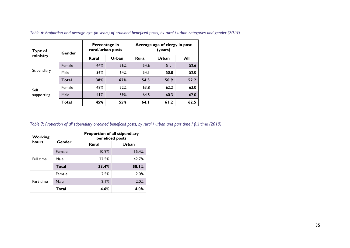| Type of     | Gender       | Percentage in<br>rural/urban posts |       | Average age of clergy in post<br>(years) |       |      |  |
|-------------|--------------|------------------------------------|-------|------------------------------------------|-------|------|--|
| ministry    |              | <b>Rural</b>                       | Urban | <b>Rural</b>                             | Urban | All  |  |
|             | Female       | 44%                                | 56%   | 54.6                                     | 51.1  | 52.6 |  |
| Stipendiary | Male         | 36%                                | 64%   | 54.1                                     | 50.8  | 52.0 |  |
|             | <b>Total</b> | 38%                                | 62%   | 54.3                                     | 50.9  | 52.2 |  |
| Self        | Female       | 48%                                | 52%   | 63.8                                     | 62.2  | 63.0 |  |
| supporting  | Male         | 41%                                | 59%   | 64.5                                     | 60.3  | 62.0 |  |
|             | Total        | 45%                                | 55%   | 64.1                                     | 61.2  | 62.5 |  |

<span id="page-35-0"></span>*Table 6: Proportion and average age (in years) of ordained beneficed posts, by rural / urban categories and gender (2019)*

<span id="page-35-1"></span>*Table 7: Proportion of all stipendiary ordained beneficed posts, by rural / urban and part time / full time (2019)*

| Working         |              | Proportion of all stipendiary<br>beneficed posts |       |  |  |  |
|-----------------|--------------|--------------------------------------------------|-------|--|--|--|
| hours<br>Gender |              | Rural                                            | Urban |  |  |  |
|                 | Female       | 10.9%                                            | 15.4% |  |  |  |
| Full time       | Male         | 22.5%                                            | 42.7% |  |  |  |
|                 | <b>Total</b> | 33.4%                                            | 58.I% |  |  |  |
|                 | Female       | 2.5%                                             | 2.0%  |  |  |  |
| Part time       | Male         | 2.1%                                             | 2.0%  |  |  |  |
|                 | Total        | 4.6%                                             | 4.0%  |  |  |  |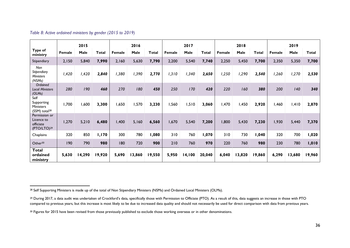|                                                                     |        | 2015   |              |        | 2016   |              |        | 2017   |        |        | 2018   |        |        | 2019   |              |
|---------------------------------------------------------------------|--------|--------|--------------|--------|--------|--------------|--------|--------|--------|--------|--------|--------|--------|--------|--------------|
| Type of<br>ministry                                                 | Female | Male   | <b>Total</b> | Female | Male   | <b>Total</b> | Female | Male   | Total  | Female | Male   | Total  | Female | Male   | <b>Total</b> |
| Stipendiary                                                         | 2,150  | 5,840  | 7,990        | 2,160  | 5,630  | 7,790        | 2,200  | 5,540  | 7,740  | 2,250  | 5,450  | 7,700  | 2,350  | 5,350  | 7,700        |
| Non<br>Stipendiary<br><b>Ministers</b><br>(NSMs)                    | 1,420  | 1,420  | 2,840        | 1,380  | 1,390  | 2,770        | 1,310  | 1,340  | 2,650  | 1,250  | 1,290  | 2,540  | 1,260  | 1,270  | 2,530        |
| Ordained<br><b>Local Ministers</b><br>(OLMs)                        | 280    | 190    | 460          | 270    | 180    | 450          | 250    | 170    | 420    | 220    | 160    | 380    | 200    | 140    | 340          |
| Self<br>Supporting<br><b>Ministers</b><br>(SSM) total <sup>28</sup> | 1,700  | 1,600  | 3,300        | 1,650  | 1,570  | 3,230        | 1,560  | 1,510  | 3,060  | 1,470  | 1,450  | 2,920  | 1,460  | 1,410  | 2,870        |
| Permission or<br>Licence to<br>officiate<br>(PTO/LTO) <sup>29</sup> | 1,270  | 5,210  | 6,480        | 1,400  | 5,160  | 6,560        | 1,670  | 5,540  | 7,200  | 1,800  | 5,430  | 7,230  | 1,930  | 5,440  | 7,370        |
| Chaplains                                                           | 320    | 850    | 1,170        | 300    | 780    | 1,080        | 310    | 760    | 1,070  | 310    | 730    | 1,040  | 320    | 700    | 1,020        |
| Other <sup>30</sup>                                                 | 190    | 790    | 980          | 180    | 720    | 900          | 210    | 760    | 970    | 220    | 760    | 980    | 230    | 780    | 1,010        |
| Total<br>ordained<br>ministry                                       | 5,630  | 14,290 | 19,920       | 5,690  | 13,860 | 19,550       | 5,950  | 14,100 | 20,040 | 6,040  | 13,820 | 19,860 | 6,290  | 13,680 | 19,960       |

# <span id="page-36-0"></span>*Table 8: Active ordained ministers by gender (2015 to 2019)*

 $\overline{a}$ <sup>28</sup> Self Supporting Ministers is made up of the total of Non Stipendiary Ministers (NSMs) and Ordained Local Ministers (OLMs).

<sup>&</sup>lt;sup>29</sup> During 2017, a data audit was undertaken of Crockford's data, specifically those with Permission to Officiate (PTO). As a result of this, data suggests an increase in those with PTO compared to previous years, but this increase is most likely to be due to increased data quality and should not necessarily be used for direct comparison with data from previous years.

<sup>&</sup>lt;sup>30</sup> Figures for 2015 have been revised from those previously published to exclude those working overseas or in other denominations.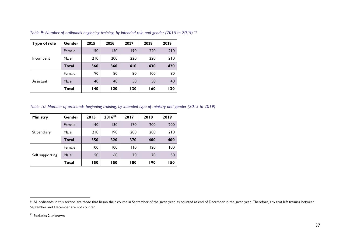| <b>Type of role</b> | Gender | 2015       | 2016 | 2017 | 2018 | 2019 |
|---------------------|--------|------------|------|------|------|------|
| Incumbent           | Female | 150        | 150  | 190  | 220  | 210  |
|                     | Male   | 210        | 200  | 220  | 220  | 210  |
|                     | Total  | 360        | 360  | 410  | 430  | 420  |
| Assistant           | Female | 90         | 80   | 80   | 100  | 80   |
|                     | Male   | 40         | 40   | 50   | 50   | 40   |
|                     | Total  | <b>140</b> | 120  | 130  | 160  | 130  |

<span id="page-37-0"></span>*Table 9: Number of ordinands beginning training, by intended role and gender (2015 to 2019) <sup>31</sup>*

<span id="page-37-1"></span>*Table 10: Number of ordinands beginning training, by intended type of ministry and gender (2015 to 2019)*

| Ministry        | Gender       | 2015 | $2016^{32}$ | 2017 | 2018 | 2019 |
|-----------------|--------------|------|-------------|------|------|------|
| Stipendiary     | Female       | 140  | 130         | 170  | 200  | 200  |
|                 | Male         | 210  | 190         | 200  | 200  | 210  |
|                 | <b>Total</b> | 350  | 320         | 370  | 400  | 400  |
| Self supporting | Female       | 100  | 100         | 110  | 120  | 100  |
|                 | Male         | 50   | 60          | 70   | 70   | 50   |
|                 | Total        | 150  | 150         | 180  | 190  | 150  |

<sup>32</sup> Excludes 2 unknown

<sup>&</sup>lt;sup>31</sup> All ordinands in this section are those that began their course in September of the given year, as counted at end of December in the given year. Therefore, any that left training between September and December are not counted.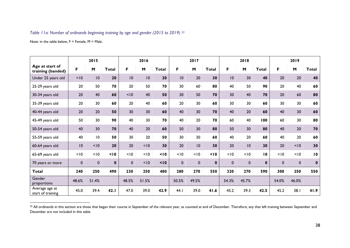#### <span id="page-38-0"></span>*Table 11a: Number of ordinands beginning training by age and gender (2015 to 2019) 33*

Note: in the table below,  $F =$  Female,  $M =$  Male.

|                                      | 2015        |             | 2016         |                 |       | 2017         |             |             | 2018         |                 | 2019        |                 |             |             |                 |
|--------------------------------------|-------------|-------------|--------------|-----------------|-------|--------------|-------------|-------------|--------------|-----------------|-------------|-----------------|-------------|-------------|-----------------|
| Age at start of<br>training (banded) | F           | M           | <b>Total</b> | F               | M     | <b>Total</b> | F           | M           | <b>Total</b> | F               | M           | <b>Total</b>    | F           | M           | <b>Total</b>    |
| Under 25 years old                   | < 10        | 10          | 20           | $\overline{10}$ | 10    | 20           | 10          | 20          | 30           | $\overline{10}$ | 30          | 40              | 20          | 20          | 40              |
| 25-29 years old                      | 20          | 50          | 70           | 20              | 50    | 70           | 30          | 60          | 80           | 40              | 50          | 90              | 20          | 40          | 60              |
| 30-34 years old                      | 20          | 40          | 60           | < 10            | 40    | 50           | 30          | 50          | 70           | 30              | 40          | 70              | 20          | 60          | 80              |
| 35-39 years old                      | 20          | 30          | 60           | 20              | 40    | 60           | 20          | 30          | 60           | 30              | 30          | 60              | 30          | 30          | 60              |
| 40-44 years old                      | 20          | 20          | 50           | 30              | 30    | 60           | 40          | 30          | 70           | 40              | 20          | 60              | 40          | 30          | 60              |
| 45-49 years old                      | 50          | 30          | 90           | 40              | 30    | 70           | 40          | 20          | 70           | 60              | 40          | 100             | 60          | 30          | 80              |
| 50-54 years old                      | 40          | 30          | 70           | 40              | 20    | 60           | 50          | 30          | 80           | 50              | 30          | 80              | 40          | 20          | 70              |
| 55-59 years old                      | 40          | 10          | 50           | 30              | 20    | 50           | 30          | 30          | 60           | 40              | 20          | 60              | 40          | 20          | 60              |
| 60-64 years old                      | 10          | < 10        | 20           | 20              | < 10  | 30           | 20          | 10          | 30           | 20              | 10          | 30              | 20          | < 10        | 30              |
| 65-69 years old                      | < 10        | < 10        | 10           | < 10            | < 10  | 10           | < 10        | < 10        | 10           | < 10            | < 10        | $\overline{10}$ | < 10        | < 10        | $\overline{10}$ |
| 70 years or more                     | $\mathbf 0$ | $\mathbf 0$ | $\mathbf 0$  | $\mathbf 0$     | < 10  | 10           | $\mathbf 0$ | $\mathbf 0$ | $\mathbf 0$  | $\mathbf 0$     | $\mathbf 0$ | $\mathbf{0}$    | $\mathbf 0$ | $\mathbf 0$ | $\pmb{0}$       |
| <b>Total</b>                         | 240         | 250         | 490          | 230             | 250   | 480          | 280         | 270         | 550          | 320             | 270         | 590             | 300         | 250         | 550             |
| Gender<br>proportions                | 48.6%       | 51.4%       |              | 48.5%           | 51.5% |              | 50.5%       | 49.5%       |              | 54.3%           | 45.7%       |                 | 54.0%       | 46.0%       |                 |
| Average age at<br>start of training  | 45.0        | 39.4        | 42.1         | 47.0            | 39.0  | 42.9         | 44.I        | 39.0        | 41.6         | 45.2            | 39.3        | 42.5            | 45.2        | 38.1        | 41.9            |

<sup>33</sup> All ordinands in this section are those that began their course in September of the relevant year, as counted at end of December. Therefore, any that left training between September and December are not included in this table.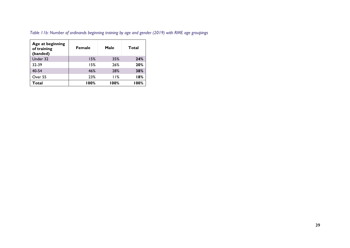| Age at beginning<br>of training<br>(banded) | <b>Female</b> | Male | Total |
|---------------------------------------------|---------------|------|-------|
| Under 32                                    | 15%           | 35%  | 24%   |
| 32-39                                       | 15%           | 26%  | 20%   |
| 40-54                                       | 46%           | 28%  | 38%   |
| Over 55                                     | 23%           | 11%  | 18%   |
| Total                                       | 100%          | 100% | 100%  |

<span id="page-39-0"></span>*Table 11b: Number of ordinands beginning training by age and gender (2019) with RME age groupings*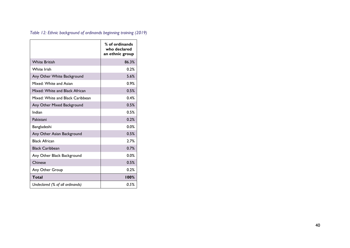|                                  | % of ordinands<br>who declared<br>an ethnic group |
|----------------------------------|---------------------------------------------------|
| <b>White British</b>             | 86.3%                                             |
| White Irish                      | 0.2%                                              |
| Any Other White Background       | 5.6%                                              |
| Mixed: White and Asian           | 0.9%                                              |
| Mixed: White and Black African   | 0.5%                                              |
| Mixed: White and Black Caribbean | 0.4%                                              |
| Any Other Mixed Background       | 0.5%                                              |
| Indian                           | 0.5%                                              |
| Pakistani                        | 0.2%                                              |
| Bangladeshi                      | 0.0%                                              |
| Any Other Asian Background       | 0.5%                                              |
| <b>Black African</b>             | 2.7%                                              |
| <b>Black Caribbean</b>           | 0.7%                                              |
| Any Other Black Background       | 0.0%                                              |
| Chinese                          | 0.5%                                              |
| Any Other Group                  | 0.2%                                              |
| Total                            | 100%                                              |
| Undeclared (% of all ordinands)  | 0.5%                                              |

<span id="page-40-0"></span>*Table 12: Ethnic background of ordinands beginning training (2019)*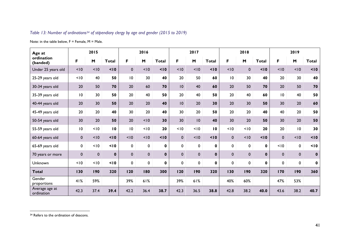# <span id="page-41-0"></span>*Table 13: Number of ordinations<sup>34</sup> of stipendiary clergy by age and gender (2015 to 2019)*

Note: in the table below,  $F =$  Female,  $M =$  Male.

| Age at                       |                 | 2015        |              | 2016            |           |              |              | 2017        |              |                 | 2018        |              | 2019        |             |              |
|------------------------------|-----------------|-------------|--------------|-----------------|-----------|--------------|--------------|-------------|--------------|-----------------|-------------|--------------|-------------|-------------|--------------|
| ordination<br>(banded)       | F               | M           | <b>Total</b> | F.              | M         | <b>Total</b> | F.           | M           | <b>Total</b> | F.              | M           | <b>Total</b> | F.          | M           | <b>Total</b> |
| Under 25 years old           | < 10            | < 10        | 10           | $\mathbf{0}$    | 10        | 10           | < 10         | < 10        | 10           | < 10            | $\mathbf 0$ | 10           | < 10        | < 10        | 10           |
| 25-29 years old              | < 10            | 40          | 50           | $\overline{10}$ | 30        | 40           | 20           | 50          | 60           | $\overline{10}$ | 30          | 40           | 20          | 30          | 40           |
| 30-34 years old              | 20              | 50          | 70           | 20              | 60        | 70           | 10           | 40          | 60           | 20              | 50          | 70           | 20          | 50          | 70           |
| 35-39 years old              | 10              | 30          | 50           | $20\,$          | 40        | 50           | 20           | 40          | 50           | 20              | 40          | 60           | 10          | 40          | 50           |
| 40-44 years old              | 20              | 30          | 50           | 20              | 20        | 40           | 10           | 20          | 30           | 20              | 30          | 50           | 30          | 20          | 60           |
| 45-49 years old              | 20              | 20          | 40           | 30              | 20        | 40           | 30           | 20          | 50           | 20              | 20          | 40           | 40          | 20          | 50           |
| 50-54 years old              | 30              | 20          | 50           | 20              | 10        | 30           | 30           | 10          | 40           | 30              | 20          | 50           | 30          | 20          | 50           |
| 55-59 years old              | $\overline{10}$ | < 10        | 10           | $\overline{10}$ | < 10      | 20           | < 10         | < 10        | 10           | < 10            | 10          | 20           | 20          | 10          | 30           |
| 60-64 years old              | $\mathbf 0$     | < 10        | 10           | < 10            | 10        | 10           | $\mathbf{0}$ | < 10        | 10           | $\mathbf{0}$    | 10          | 10           | $\mathbf 0$ | < 10        | 10           |
| 65-69 years old              | 0               | < 10        | 10           | 0               | 0         | $\mathbf 0$  | 0            | $\mathbf 0$ | $\mathbf 0$  | $\mathbf 0$     | 0           | 0            | < 10        | 0           | 10           |
| 70 years or more             | $\pmb{0}$       | $\mathbf 0$ | $\mathbf 0$  | $\mathbf 0$     | $\pmb{0}$ | $\mathbf{0}$ | $\mathbf 0$  | $\pmb{0}$   | $\mathbf 0$  | $\mathbf 0$     | $\mathbf 0$ | $\mathbf{0}$ | $\mathbf 0$ | $\mathbf 0$ | $\pmb{0}$    |
| Unknown                      | < 10            | < 10        | 10           | 0               | 0         | $\mathbf 0$  | $\mathbf 0$  | $\mathbf 0$ | $\mathbf 0$  | 0               | $\mathbf 0$ | 0            | $\mathbf 0$ | 0           | $\mathbf 0$  |
| <b>Total</b>                 | 130             | 190         | 320          | 120             | 180       | 300          | 120          | 190         | 320          | 130             | 190         | 320          | 170         | 190         | 360          |
| Gender<br>proportions        | 41%             | 59%         |              | 39%             | 61%       |              | 39%          | 61%         |              | 40%             | 60%         |              | 47%         | 53%         |              |
| Average age at<br>ordination | 42.3            | 37.4        | 39.4         | 42.2            | 36.4      | 38.7         | 42.3         | 36.5        | 38.8         | 42.8            | 38.2        | 40.0         | 43.6        | 38.2        | 40.7         |

<sup>&</sup>lt;sup>34</sup> Refers to the ordination of deacons.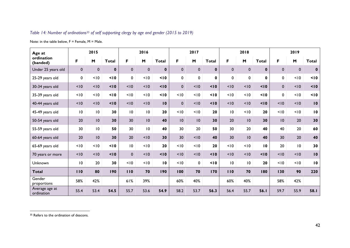# <span id="page-42-0"></span>*Table 14: Number of ordinations<sup>35</sup> of self supporting clergy by age and gender (2015 to 2019)*

Note: in the table below,  $F =$  Female,  $M =$  Male.

| Age at                       |                 | 2015        |              | 2016            |                 |              |              | 2017        |                  |                 | 2018            |              | 2019         |             |                 |
|------------------------------|-----------------|-------------|--------------|-----------------|-----------------|--------------|--------------|-------------|------------------|-----------------|-----------------|--------------|--------------|-------------|-----------------|
| ordination<br>(banded)       | F               | M           | <b>Total</b> | F.              | M               | <b>Total</b> | F.           | M           | <b>Total</b>     | F.              | M               | <b>Total</b> | F.           | M           | <b>Total</b>    |
| Under 25 years old           | $\mathbf{0}$    | $\mathbf 0$ | $\mathbf 0$  | $\mathbf{0}$    | $\mathbf 0$     | $\bf{0}$     | $\mathbf{0}$ | $\mathbf 0$ | $\mathbf 0$      | $\mathbf{0}$    | $\mathbf 0$     | $\mathbf{0}$ | $\mathbf{0}$ | $\mathbf 0$ | $\mathbf 0$     |
| 25-29 years old              | $\pmb{0}$       | < 10        | 10           | 0               | 10              | 10           | 0            | $\mathbf 0$ | $\mathbf 0$      | 0               | 0               | 0            | 0            | < 10        | 10              |
| 30-34 years old              | < 10            | < 10        | 10           | < 10            | < 10            | 10           | $\mathbf{0}$ | < 10        | 10               | < 10            | < 10            | 10           | $\mathbf 0$  | < 10        | 10              |
| 35-39 years old              | < 10            | < 10        | 10           | < 10            | 10              | 10           | < 10         | < 10        | 10               | < 10            | < 10            | 10           | $\mathbf{0}$ | < 10        | 10              |
| 40-44 years old              | < 10            | < 10        | 10           | < 10            | < 10            | 10           | $\mathbf{0}$ | < 10        | 10               | < 10            | < 10            | 10           | < 10         | < 10        | $\blacksquare$  |
| 45-49 years old              | 10              | 10          | 30           | $\overline{10}$ | $\overline{10}$ | 20           | < 10         | < 10        | 20               | $\overline{10}$ | 10              | 20           | < 10         | < 10        | 10              |
| 50-54 years old              | 20              | 10          | 30           | 30              | 10              | 40           | 10           | 10          | 30               | 20              | 10              | 30           | 10           | 20          | 30              |
| 55-59 years old              | 30              | 10          | 50           | 30              | $\overline{10}$ | 40           | 30           | 20          | 50               | 30              | 20              | 40           | 40           | 20          | 60              |
| 60-64 years old              | 20              | 10          | 30           | 20              | 10              | 30           | 30           | < 10        | 40               | 30              | 10              | 40           | 30           | 20          | 40              |
| 65-69 years old              | < 10            | < 10        | 10           | $\overline{10}$ | 10              | 20           | < 10         | < 10        | 20               | < 10            | < 10            | 10           | 20           | 10          | 30              |
| 70 years or more             | < 10            | < 10        | 10           | $\mathbf 0$     | < 10            | 10           | < 10         | < 10        | 10 <sub>10</sub> | < 10            | < 10            | 10           | < 10         | < 10        | $\overline{10}$ |
| Unknown                      | $\overline{10}$ | 20          | 30           | < 10            | 10              | 10           | < 10         | $\mathbf 0$ | 10               | $\overline{10}$ | $\overline{10}$ | 20           | < 10         | < 10        | $\overline{10}$ |
| <b>Total</b>                 | 110             | 80          | 190          | 110             | 70              | 190          | 100          | 70          | 170              | 110             | 70              | 180          | 130          | 90          | 220             |
| Gender<br>proportions        | 58%             | 42%         |              | 61%             | 39%             |              | 60%          | 40%         |                  | 60%             | 40%             |              | 58%          | 42%         |                 |
| Average age at<br>ordination | 55.4            | 53.4        | 54.5         | 55.7            | 53.6            | 54.9         | 58.2         | 53.7        | 56.3             | 56.4            | 55.7            | 56.I         | 59.7         | 55.9        | 58.I            |

<sup>&</sup>lt;sup>35</sup> Refers to the ordination of deacons.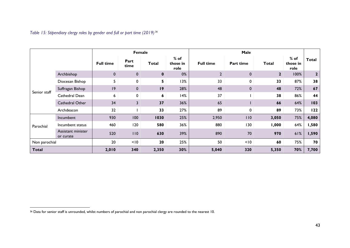<span id="page-43-0"></span>*Table 15: Stipendiary clergy roles by gender and full or part time (2019) 36*

|               |                                 |                  |              | Female       |                            | Male             |              |                |                            |              |
|---------------|---------------------------------|------------------|--------------|--------------|----------------------------|------------------|--------------|----------------|----------------------------|--------------|
|               |                                 | <b>Full time</b> | Part<br>time | <b>Total</b> | $%$ of<br>those in<br>role | <b>Full time</b> | Part time    | Total          | $%$ of<br>those in<br>role | Total        |
|               | Archbishop                      | $\mathbf{0}$     | $\mathbf 0$  | $\mathbf 0$  | 0%                         | $\overline{2}$   | $\mathbf{0}$ | $\overline{2}$ | 100%                       | $\mathbf{2}$ |
|               | Diocesan Bishop                 | 5                | 0            | 5            | 13%                        | 33               | 0            | 33             | 87%                        | 38           |
|               | Suffragan Bishop                | 9                | $\mathbf 0$  | 19           | 28%                        | 48               | $\mathbf 0$  | 48             | 72%                        | 67           |
| Senior staff  | Cathedral Dean                  | 6                | 0            | 6            | 14%                        | 37               |              | 38             | 86%                        | 44           |
|               | Cathedral Other                 | 34               | 3            | 37           | 36%                        | 65               |              | 66             | 64%                        | 103          |
|               | Archdeacon                      | 32               |              | 33           | 27%                        | 89               | 0            | 89             | 73%                        | 122          |
|               | Incumbent                       | 930              | 100          | 1030         | 25%                        | 2,950            | 110          | 3,050          | 75%                        | 4,080        |
| Parochial     | Incumbent status                | 460              | 120          | 580          | 36%                        | 880              | 130          | 1,000          | 64%                        | 1,580        |
|               | Assistant minister<br>or curate | 520              | 110          | 630          | 39%                        | 890              | 70           | 970            | 61%                        | 1,590        |
| Non parochial |                                 | 20               | < 10         | 20           | 25%                        | 50               | < 10         | 60             | 75%                        | 70           |
| <b>Total</b>  |                                 | 2,010            | 340          | 2,350        | 30%                        | 5,040            | 320          | 5,350          | 70%                        | 7,700        |

<sup>36</sup> Data for senior staff is unrounded, whilst numbers of parochial and non parochial clergy are rounded to the nearest 10.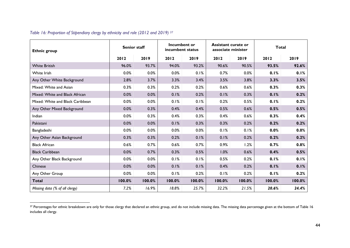| <b>Ethnic group</b>              | <b>Senior staff</b> |        | Incumbent or<br>incumbent status |        | <b>Assistant curate or</b><br>associate minister |        | <b>Total</b> |        |  |
|----------------------------------|---------------------|--------|----------------------------------|--------|--------------------------------------------------|--------|--------------|--------|--|
|                                  | 2012                | 2019   | 2012                             | 2019   | 2012                                             | 2019   | 2012         | 2019   |  |
| <b>White British</b>             | 96.0%               | 93.7%  | 94.0%                            | 93.2%  | 90.6%                                            | 90.5%  | 93.5%        | 92.6%  |  |
| White Irish                      | 0.0%                | 0.0%   | 0.0%                             | 0.1%   | 0.7%                                             | 0.0%   | 0.1%         | 0.1%   |  |
| Any Other White Background       | 2.8%                | 3.7%   | 3.3%                             | 3.4%   | 3.5%                                             | 3.8%   | 3.3%         | 3.5%   |  |
| Mixed: White and Asian           | 0.3%                | 0.3%   | 0.2%                             | 0.2%   | 0.6%                                             | 0.6%   | 0.3%         | 0.3%   |  |
| Mixed: White and Black African   | 0.0%                | 0.0%   | 0.1%                             | 0.2%   | 0.1%                                             | 0.3%   | 0.1%         | 0.2%   |  |
| Mixed: White and Black Caribbean | 0.0%                | 0.0%   | 0.1%                             | 0.1%   | 0.2%                                             | 0.5%   | 0.1%         | 0.2%   |  |
| Any Other Mixed Background       | 0.0%                | 0.3%   | 0.4%                             | 0.4%   | 0.5%                                             | 0.6%   | 0.5%         | 0.5%   |  |
| Indian                           | 0.0%                | 0.3%   | 0.4%                             | 0.3%   | 0.4%                                             | 0.6%   | 0.3%         | 0.4%   |  |
| Pakistani                        | 0.0%                | 0.0%   | 0.1%                             | 0.3%   | 0.3%                                             | 0.2%   | 0.2%         | 0.2%   |  |
| Bangladeshi                      | 0.0%                | 0.0%   | 0.0%                             | 0.0%   | 0.1%                                             | 0.1%   | 0.0%         | 0.0%   |  |
| Any Other Asian Background       | 0.3%                | 0.3%   | 0.2%                             | 0.1%   | 0.1%                                             | 0.2%   | 0.2%         | 0.2%   |  |
| <b>Black African</b>             | 0.6%                | 0.7%   | 0.6%                             | 0.7%   | 0.9%                                             | 1.2%   | 0.7%         | 0.8%   |  |
| <b>Black Caribbean</b>           | 0.0%                | 0.7%   | 0.3%                             | 0.5%   | 1.0%                                             | 0.6%   | 0.4%         | 0.5%   |  |
| Any Other Black Background       | 0.0%                | 0.0%   | 0.1%                             | 0.1%   | 0.5%                                             | 0.2%   | 0.1%         | 0.1%   |  |
| Chinese                          | 0.0%                | 0.0%   | 0.1%                             | 0.1%   | 0.4%                                             | 0.2%   | 0.1%         | 0.1%   |  |
| Any Other Group                  | 0.0%                | 0.0%   | 0.1%                             | 0.2%   | 0.1%                                             | 0.2%   | 0.1%         | 0.2%   |  |
| <b>Total</b>                     | 100.0%              | 100.0% | 100.0%                           | 100.0% | 100.0%                                           | 100.0% | 100.0%       | 100.0% |  |
| Missing data (% of all clergy)   | 7.2%                | 16.9%  | 18.8%                            | 25.7%  | 32.2%                                            | 21.5%  | 20.6%        | 24.4%  |  |

<span id="page-44-0"></span>*Table 16: Proportion of Stipendiary clergy by ethnicity and role (2012 and 2019) 37*

 $37$  Percentages for ethnic breakdown are only for those clergy that declared an ethnic group, and do not include missing data. The missing data percentage given at the bottom of [Table 16](#page-44-0) includes all clergy.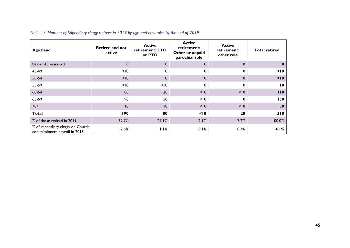| Age band                                                           | <b>Retired and not</b><br>active | <b>Active</b><br>retirement: LTO<br>or PTO | <b>Active</b><br>retirement:<br>Other or unpaid<br>parochial role | <b>Active</b><br>retirement:<br>other role | <b>Total retired</b> |
|--------------------------------------------------------------------|----------------------------------|--------------------------------------------|-------------------------------------------------------------------|--------------------------------------------|----------------------|
| Under 45 years old                                                 | $\mathbf 0$                      | $\mathbf{0}$                               | $\mathbf 0$                                                       | $\mathbf 0$                                | 0                    |
| 45-49                                                              | < 10                             | $\Omega$                                   | 0                                                                 | $\Omega$                                   | 10 <sub>10</sub>     |
| 50-54                                                              | < 10                             | $\mathbf 0$                                | $\mathbf{0}$                                                      | $\mathbf{0}$                               | < 10                 |
| 55-59                                                              | < 10                             | < 10                                       | 0                                                                 | 0                                          | $\overline{10}$      |
| 60-64                                                              | 80                               | 20                                         | < 10                                                              | < 10                                       | 110                  |
| 65-69                                                              | 90                               | 50                                         | < 10                                                              | 10                                         | 150                  |
| $70+$                                                              | 10                               | 10                                         | < 10                                                              | < 10                                       | 30                   |
| <b>Total</b>                                                       | 190                              | 80                                         | 10<                                                               | 20                                         | 310                  |
| % of those retired in 2019                                         | 62.7%                            | 27.1%                                      | 2.9%                                                              | 7.2%                                       | 100.0%               |
| % of stipendiary clergy on Church<br>commissioners payroll in 2018 | 2.6%                             | 1.1%                                       | 0.1%                                                              | 0.3%                                       | 4.1%                 |

# <span id="page-45-0"></span>*Table 17: Number of Stipendiary clergy retirees in 2019 by age and new roles by the end of 2019*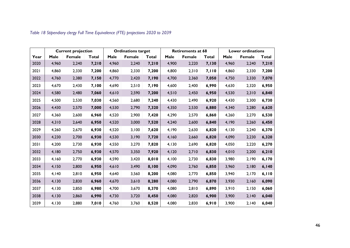|      |       | <b>Current projection</b> |       |       | <b>Ordinations target</b> |       |       | <b>Retirements at 68</b> |              | <b>Lower ordinations</b> |               |       |  |
|------|-------|---------------------------|-------|-------|---------------------------|-------|-------|--------------------------|--------------|--------------------------|---------------|-------|--|
| Year | Male  | <b>Female</b>             | Total | Male  | <b>Female</b>             | Total | Male  | <b>Female</b>            | <b>Total</b> | Male                     | <b>Female</b> | Total |  |
| 2020 | 4,960 | 2,240                     | 7,210 | 4,960 | 2,240                     | 7,210 | 4,900 | 2,220                    | 7,130        | 4,960                    | 2,240         | 7,210 |  |
| 2021 | 4,860 | 2,330                     | 7,200 | 4,860 | 2,330                     | 7,200 | 4,800 | 2,310                    | 7,110        | 4,860                    | 2,330         | 7,200 |  |
| 2022 | 4,760 | 2,380                     | 7,150 | 4,770 | 2,420                     | 7,190 | 4,700 | 2,360                    | 7,050        | 4,750                    | 2,330         | 7,070 |  |
| 2023 | 4,670 | 2,430                     | 7,100 | 4,690 | 2,510                     | 7,190 | 4,600 | 2,400                    | 6,990        | 4,630                    | 2,320         | 6,950 |  |
| 2024 | 4,580 | 2,480                     | 7,060 | 4,610 | 2,590                     | 7,200 | 4,510 | 2,450                    | 6,950        | 4,530                    | 2,310         | 6,840 |  |
| 2025 | 4,500 | 2,530                     | 7,030 | 4,560 | 2,680                     | 7,240 | 4,430 | 2,490                    | 6,920        | 4,430                    | 2,300         | 6,730 |  |
| 2026 | 4,430 | 2,570                     | 7,000 | 4,530 | 2,790                     | 7,320 | 4,350 | 2,530                    | 6,880        | 4,340                    | 2,280         | 6,620 |  |
| 2027 | 4,360 | 2,600                     | 6,960 | 4,520 | 2,900                     | 7,420 | 4,290 | 2,570                    | 6,860        | 4,260                    | 2,270         | 6,530 |  |
| 2028 | 4,310 | 2,640                     | 6,950 | 4,520 | 3,000                     | 7,520 | 4,240 | 2,600                    | 6,840        | 4,190                    | 2,260         | 6,450 |  |
| 2029 | 4,260 | 2,670                     | 6,930 | 4,520 | 3,100                     | 7,620 | 4,190 | 2,630                    | 6,820        | 4,130                    | 2,240         | 6,370 |  |
| 2030 | 4,230 | 2,700                     | 6,930 | 4,530 | 3,190                     | 7,720 | 4,160 | 2,660                    | 6,820        | 4,090                    | 2,230         | 6,320 |  |
| 2031 | 4,200 | 2,730                     | 6,930 | 4,550 | 3,270                     | 7,820 | 4,130 | 2,690                    | 6,820        | 4,050                    | 2,220         | 6,270 |  |
| 2032 | 4,180 | 2,750                     | 6,930 | 4,570 | 3,350                     | 7,920 | 4,120 | 2,710                    | 6,830        | 4,010                    | 2,200         | 6,210 |  |
| 2033 | 4,160 | 2,770                     | 6,930 | 4,590 | 3,420                     | 8,010 | 4,100 | 2,730                    | 6,830        | 3,980                    | 2,190         | 6,170 |  |
| 2034 | 4,150 | 2,800                     | 6,950 | 4,610 | 3,490                     | 8,100 | 4,090 | 2,760                    | 6,850        | 3,960                    | 2,180         | 6,140 |  |
| 2035 | 4,140 | 2,810                     | 6,950 | 4,640 | 3,560                     | 8,200 | 4,080 | 2,770                    | 6,850        | 3,940                    | 2,170         | 6,110 |  |
| 2036 | 4,130 | 2,830                     | 6,960 | 4,670 | 3,610                     | 8,280 | 4,080 | 2,790                    | 6,870        | 3,930                    | 2,160         | 6,090 |  |
| 2037 | 4,130 | 2,850                     | 6,980 | 4,700 | 3,670                     | 8,370 | 4,080 | 2,810                    | 6,890        | 3,910                    | 2,150         | 6,060 |  |
| 2038 | 4,130 | 2,860                     | 6,990 | 4,730 | 3,720                     | 8,450 | 4,080 | 2,820                    | 6,900        | 3,900                    | 2,140         | 6,040 |  |
| 2039 | 4,130 | 2,880                     | 7,010 | 4,760 | 3,760                     | 8,520 | 4,080 | 2,830                    | 6,910        | 3,900                    | 2,140         | 6,040 |  |

<span id="page-46-0"></span>*Table 18 Stipendiary clergy Full Time Equivalence (FTE) projections 2020 to 2039*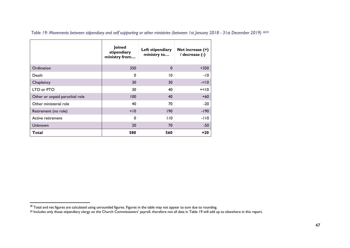|                                | Joined<br>stipendiary<br>ministry from | Left stipendiary<br>ministry to | Net increase (+)<br>/ decrease (-) |
|--------------------------------|----------------------------------------|---------------------------------|------------------------------------|
| Ordination                     | 350                                    | $\mathbf 0$                     | $+350$                             |
| Death                          | $\Omega$                               | 10                              | -10                                |
| Chaplaincy                     | 30                                     | 30                              | $-< 10$                            |
| LTO or PTO                     | 30                                     | 40                              | $+<10$                             |
| Other or unpaid parochial role | 100                                    | 40                              | $+60$                              |
| Other ministerial role         | 40                                     | 70                              | $-20$                              |
| Retirement (no role)           | < 10                                   | 190                             | $-190$                             |
| Active retirement              | $\Omega$                               | 110                             | $-110$                             |
| Unknown                        | 20                                     | 70                              | $-50$                              |
| Total                          | 580                                    | 560                             | $+20$                              |

<span id="page-47-1"></span><span id="page-47-0"></span>*Table 19: Movements between stipendiary and self supporting or other ministries (between 1st January 2018 - 31st December 2019) 3839*

 $^{38}$  Total and net figures are calculated using unrounded figures. Figures in the table may not appear to sum due to rounding.

<sup>&</sup>lt;sup>39</sup> Includes only those stipendiary clergy on the Church Commissioners' payroll, therefore not all data in [Table 19](#page-47-0) will add up to elsewhere in this report.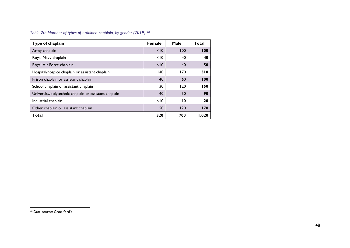#### <span id="page-48-0"></span>*Table 20: Number of types of ordained chaplain, by gender (2019) 40*

| Type of chaplain                                      | Female | Male | Total |
|-------------------------------------------------------|--------|------|-------|
| Army chaplain                                         | < 10   | 100  | 100   |
| Royal Navy chaplain                                   | < 10   | 40   | 40    |
| Royal Air Force chaplain                              | < 10   | 40   | 50    |
| Hospital/hospice chaplain or assistant chaplain       | 140    | 170  | 310   |
| Prison chaplain or assistant chaplain                 | 40     | 60   | 100   |
| School chaplain or assistant chaplain                 | 30     | 120  | 150   |
| University/polytechnic chaplain or assistant chaplain | 40     | 50   | 90    |
| Industrial chaplain                                   | < 10   | 10   | 20    |
| Other chaplain or assistant chaplain                  | 50     | 120  | 170   |
| Total                                                 | 320    | 700  | 1,020 |

<sup>40</sup> Data source: Crockford's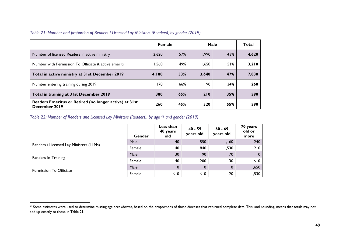|                                                                         | <b>Female</b> |     | Male  |     | Total |
|-------------------------------------------------------------------------|---------------|-----|-------|-----|-------|
| Number of licensed Readers in active ministry                           | 2.620         | 57% | 1.990 | 43% | 4,620 |
| Number with Permission To Officiate & active emeriti                    | 1.560         | 49% | 1,650 | 51% | 3,210 |
| Total in active ministry at 31st December 2019                          | 4,180         | 53% | 3,640 | 47% | 7,830 |
| Number entering training during 2019                                    | 170           | 66% | 90    | 34% | 260   |
| Total in training at 31st December 2019                                 | 380           | 65% | 210   | 35% | 590   |
| Readers Emeritus or Retired (no longer active) at 31st<br>December 2019 | 260           | 45% | 320   | 55% | 590   |

# <span id="page-49-0"></span>*Table 21: Number and proportion of Readers / Licensed Lay Ministers (Readers), by gender (2019)*

# <span id="page-49-1"></span>*Table 22: Number of Readers and Licensed Lay Ministers (Readers), by age <sup>41</sup> and gender (2019)*

|                                         | Gender | Less than<br>40 years<br>old | $40 - 59$<br>years old | $60 - 69$<br>years old | 70 years<br>old or<br>more |
|-----------------------------------------|--------|------------------------------|------------------------|------------------------|----------------------------|
|                                         | Male   | 40                           | 550                    | 1,160                  | 240                        |
| Readers / Licensed Lay Ministers (LLMs) | Female | 40                           | 840                    | 1,530                  | 210                        |
|                                         | Male   | 30                           | 90                     | 70                     | 10                         |
| Readers-in-Training                     | Female | 40                           | 200                    | 130                    | < 10                       |
|                                         | Male   | 0                            | 0                      | $\mathbf 0$            | 1,650                      |
| Permission To Officiate                 | Female | < 10                         | < 10                   | 20                     | 1,530                      |

<sup>&</sup>lt;sup>41</sup> Some estimates were used to determine missing age breakdowns, based on the proportions of those dioceses that returned complete data. This, and rounding, means that totals may not add up exactly to those in [Table 21.](#page-49-0)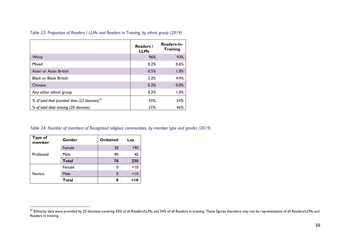|                                                  | Readers /<br><b>LLMs</b> | Readers-in-<br><b>Training</b> |
|--------------------------------------------------|--------------------------|--------------------------------|
| White                                            | 96%                      | 93%                            |
| Mixed                                            | 0.2%                     | 0.6%                           |
| Asian or Asian British                           | 0.5%                     | 1.0%                           |
| <b>Black or Black British</b>                    | 3.2%                     | 4.4%                           |
| Chinese                                          | 0.2%                     | 0.0%                           |
| Any other ethnic group                           | 0.2%                     | 1.0%                           |
| % of total that provided data (22 dioceses) $42$ | 45%                      | 54%                            |
| % of total data missing (20 dioceses)            | 55%                      | 46%                            |

<span id="page-50-0"></span>*Table 23: Proportion of Readers / LLMs and Readers in Training, by ethnic group (2019)*

<span id="page-50-1"></span>*Table 24: Number of members of Recognised religious communities, by member type and gender (2019)*

| <b>Type of</b><br>member | Gender       | Ordained | Lay |
|--------------------------|--------------|----------|-----|
| Professed                | Female       | 30       | 190 |
|                          | Male         | 40       | 40  |
|                          | <b>Total</b> | 70       | 230 |
|                          | Female       | 0        | 10  |
| Novice                   | Male         | 0        | 10  |
|                          | <b>Total</b> | 0        | 10  |

 $^{42}$  Ethnicity data were provided by 22 dioceses covering 45% of all Readers/LLMs and 54% of all Readers in training. These figures therefore may not be representative of all Readers/LLMs and Readers in training.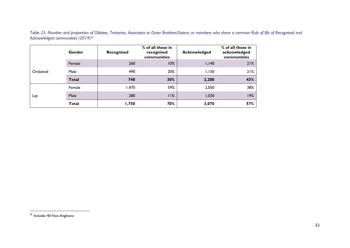<span id="page-51-0"></span>*Table 25: Number and proportion of Oblates, Tertiaries, Associates or Outer Brothers/Sisters; or members who share a common Rule of life of Recognised and Acknowledged communities (2019) 43*

|          | Gender       | Recognised | % of all those in<br>recognised<br>communities | Acknowledged | % of all those in<br>acknowledged<br>communities |
|----------|--------------|------------|------------------------------------------------|--------------|--------------------------------------------------|
| Ordained | Female       | 260        | 10%                                            | 1,140        | 21%                                              |
|          | Male         | 490        | 20%                                            | 1,150        | 21%                                              |
|          | <b>Total</b> | 740        | 30%                                            | 2,280        | 43%                                              |
| Lay      | Female       | 1,470      | 59%                                            | 2,050        | 38%                                              |
|          | Male         | 280        | 11%                                            | 1,030        | 19%                                              |
|          | <b>Total</b> | 1,750      | 70%                                            | 3,070        | 57%                                              |

<sup>&</sup>lt;sup>43</sup> Includes 40 Non-Anglicans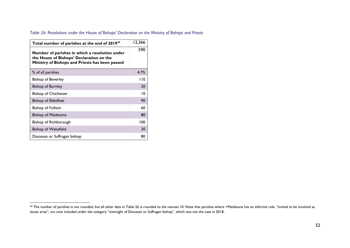# <span id="page-52-0"></span>*Table 26: Resolutions under the House of Bishops' Declaration on the Ministry of Bishops and Priests*

| Total number of parishes at the end of 2019 <sup>44</sup>                                                                                     | 12,366 |
|-----------------------------------------------------------------------------------------------------------------------------------------------|--------|
| Number of parishes in which a resolution under<br>the House of Bishops' Declaration on the<br>Ministry of Bishops and Priests has been passed |        |
| % of all parishes                                                                                                                             | 4.7%   |
| <b>Bishop of Beverley</b>                                                                                                                     | l 10   |
| <b>Bishop of Burnley</b>                                                                                                                      | 20     |
| <b>Bishop of Chichester</b>                                                                                                                   | 10     |
| Bishop of Ebbsfleet                                                                                                                           | 90     |
| Bishop of Fulham                                                                                                                              | 60     |
| <b>Bishop of Maidstone</b>                                                                                                                    | 80     |
| Bishop of Richborough                                                                                                                         | 100    |
| <b>Bishop of Wakefield</b>                                                                                                                    | 30     |
| Diocesan or Suffragan bishop                                                                                                                  | 80     |

<sup>&</sup>lt;sup>44</sup> The number of parishes is not rounded, but all other data i[n Table 26](#page-52-0) is rounded to the nearest 10. Note that parishes where +Maidstone has an informal role, "invited to be involved as issues arise", are now included under the category "oversight of Diocesan or Suffragan bishop", which was not the case in 2018.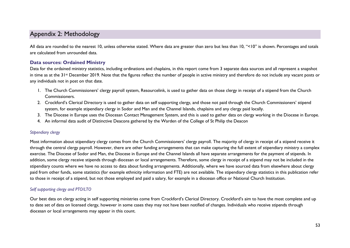# <span id="page-53-0"></span>Appendix 2: Methodology

All data are rounded to the nearest 10, unless otherwise stated. Where data are greater than zero but less than 10, "<10" is shown. Percentages and totals are calculated from unrounded data.

# <span id="page-53-1"></span>**Data sources: Ordained Ministry**

Data for the ordained ministry statistics, including ordinations and chaplains, in this report come from 3 separate data sources and all represent a snapshot in time as at the 31st December 2019. Note that the figures reflect the number of people in active ministry and therefore do not include any vacant posts or any individuals not in post on that date.

- 1. The Church Commissioners' clergy payroll system, Resourcelink, is used to gather data on those clergy in receipt of a stipend from the Church Commissioners.
- 2. Crockford's Clerical Directory is used to gather data on self supporting clergy, and those not paid through the Church Commissioners' stipend system, for example stipendiary clergy in Sodor and Man and the Channel Islands, chaplains and any clergy paid locally.
- 3. The Diocese in Europe uses the Diocesan Contact Management System, and this is used to gather data on clergy working in the Diocese in Europe.
- 4. An informal data audit of Distinctive Deacons gathered by the Warden of the College of St Philip the Deacon

#### <span id="page-53-2"></span>*Stipendiary clergy*

Most information about stipendiary clergy comes from the Church Commissioners' clergy payroll. The majority of clergy in receipt of a stipend receive it through the central clergy payroll. However, there are other funding arrangements that can make capturing the full extent of stipendiary ministry a complex exercise. The Diocese of Sodor and Man, the Diocese in Europe and the Channel Islands all have separate arrangements for the payment of stipends. In addition, some clergy receive stipends through diocesan or local arrangements. Therefore, some clergy in receipt of a stipend may not be included in the stipendiary counts where we have no access to data about funding arrangements. Additionally, where we have sourced data from elsewhere about clergy paid from other funds, some statistics (for example ethnicity information and FTE) are not available. The stipendiary clergy statistics in this publication refer to those in receipt of a stipend, but not those employed and paid a salary, for example in a diocesan office or National Church Institution.

## <span id="page-53-3"></span>*Self supporting clergy and PTO/LTO*

Our best data on clergy acting in self supporting ministries come from Crockford's Clerical Directory. Crockford's aim to have the most complete and up to date set of data on licensed clergy, however in some cases they may not have been notified of changes. Individuals who receive stipends through diocesan or local arrangements may appear in this count.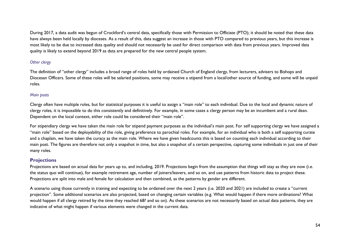During 2017, a data audit was begun of Crockford's central data, specifically those with Permission to Officiate (PTO); it should be noted that these data have always been held locally by dioceses. As a result of this, data suggest an increase in those with PTO compared to previous years, but this increase is most likely to be due to increased data quality and should not necessarily be used for direct comparison with data from previous years. Improved data quality is likely to extend beyond 2019 as data are prepared for the new central people system.

# <span id="page-54-0"></span>*Other clergy*

The definition of "other clergy" includes a broad range of roles held by ordained Church of England clergy, from lecturers, advisers to Bishops and Diocesan Officers. Some of these roles will be salaried positions, some may receive a stipend from a local/other source of funding, and some will be unpaid roles.

#### <span id="page-54-1"></span>*Main posts*

Clergy often have multiple roles, but for statistical purposes it is useful to assign a "main role" to each individual. Due to the local and dynamic nature of clergy roles, it is impossible to do this consistently and definitively. For example, in some cases a clergy person may be an incumbent and a rural dean. Dependent on the local context, either role could be considered their "main role".

For stipendiary clergy we have taken the main role for stipend payment purposes as the individual's main post. For self supporting clergy we have assigned a "main role" based on the deployability of the role, giving preference to parochial roles. For example, for an individual who is both a self supporting curate and a chaplain, we have taken the curacy as the main role. Where we have given headcounts this is based on counting each individual according to their main post. The figures are therefore not only a snapshot in time, but also a snapshot of a certain perspective, capturing some individuals in just one of their many roles.

## <span id="page-54-2"></span>**Projections**

Projections are based on actual data for years up to, and including, 2019. Projections begin from the assumption that things will stay as they are now (i.e. the status quo will continue), for example retirement age, number of joiners/leavers, and so on, and use patterns from historic data to project these. Projections are split into male and female for calculation and then combined, as the patterns by gender are different.

A scenario using those currently in training and expecting to be ordained over the next 2 years (i.e. 2020 and 2021) are included to create a "current projection". Some additional scenarios are also projected, based on changing certain variables (e.g. What would happen if there more ordinations? What would happen if all clergy retired by the time they reached 68? and so on). As these scenarios are not necessarily based on actual data patterns, they are indicative of what might happen if various elements were changed in the current data.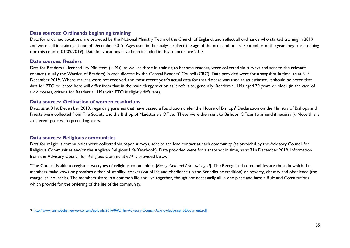# <span id="page-55-0"></span>**Data sources: Ordinands beginning training**

Data for ordained vocations are provided by the National Ministry Team of the Church of England, and reflect all ordinands who started training in 2019 and were still in training at end of December 2019. Ages used in the analysis reflect the age of the ordinand on 1st September of the year they start training (for this cohort, 01/09/2019). Data for vocations have been included in this report since 2017.

## <span id="page-55-1"></span>**Data sources: Readers**

Data for Readers / Licenced Lay Ministers (LLMs), as well as those in training to become readers, were collected via surveys and sent to the relevant contact (usually the Warden of Readers) in each diocese by the Central Readers' Council (CRC). Data provided were for a snapshot in time, as at  $3!$ December 2019. Where returns were not received, the most recent year's actual data for that diocese was used as an estimate. It should be noted that data for PTO collected here will differ from that in the main clergy section as it refers to, generally, Readers / LLMs aged 70 years or older (in the case of six dioceses, criteria for Readers / LLMs with PTO is slightly different).

# <span id="page-55-2"></span>**Data sources: Ordination of women resolutions**

Data, as at 31st December 2019, regarding parishes that have passed a Resolution under the House of Bishops' Declaration on the Ministry of Bishops and Priests were collected from The Society and the Bishop of Maidstone's Office. These were then sent to Bishops' Offices to amend if necessary. Note this is a different process to preceding years.

## <span id="page-55-3"></span>**Data sources: Religious communities**

Data for religious communities were collected via paper surveys, sent to the lead contact at each community (as provided by the Advisory Council for Religious Communities and/or the Anglican Religious Life Yearbook). Data provided were for a snapshot in time, as at 31<sup>st</sup> December 2019. Information from the Advisory Council for Religious Communities<sup>45</sup> is provided below:

*"*The Council is able to register two types of religious communities [*Recognised and Acknowledged*]. The Recognised communities are those in which the members make vows or promises either of stability, conversion of life and obedience (in the Benedictine tradition) or poverty, chastity and obedience (the evangelical counsels). The members share in a common life and live together, though not necessarily all in one place and have a Rule and Constitutions which provide for the ordering of the life of the community.

<sup>45</sup> <http://www.ianmobsby.net/wp-content/uploads/2016/04/2The-Advisory-Council-Acknowledgement-Document.pdf>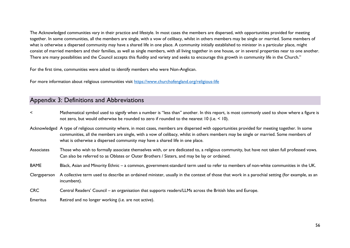The Acknowledged communities vary in their practice and lifestyle. In most cases the members are dispersed, with opportunities provided for meeting together. In some communities, all the members are single, with a vow of celibacy, whilst in others members may be single or married. Some members of what is otherwise a dispersed community may have a shared life in one place. A community initially established to minister in a particular place, might consist of married members and their families, as well as single members, with all living together in one house, or in several properties near to one another. There are many possibilities and the Council accepts this fluidity and variety and seeks to encourage this growth in community life in the Church."

For the first time, communities were asked to identify members who were Non-Anglican.

For more information about religious communities visit<https://www.churchofengland.org/religious-life>

# <span id="page-56-0"></span>Appendix 3: Definitions and Abbreviations

- < Mathematical symbol used to signify when a number is "less than" another. In this report, is most commonly used to show where a figure is not zero, but would otherwise be rounded to zero if rounded to the nearest 10 (i.e. < 10).
- Acknowledged A type of religious community where, in most cases, members are dispersed with opportunities provided for meeting together. In some communities, all the members are single, with a vow of celibacy, whilst in others members may be single or married. Some members of what is otherwise a dispersed community may have a shared life in one place.
- Associates Those who wish to formally associate themselves with, or are dedicated to, a religious community, but have not taken full professed vows. Can also be referred to as Oblates or Outer Brothers / Sisters, and may be lay or ordained.
- BAME Black, Asian and Minority Ethnic a common, government-standard term used to refer to members of non-white communities in the UK.
- Clergyperson A collective term used to describe an ordained minister, usually in the context of those that work in a parochial setting (for example, as an incumbent).
- CRC Central Readers' Council an organisation that supports readers/LLMs across the British Isles and Europe.
- Emeritus Retired and no longer working (i.e. are not active).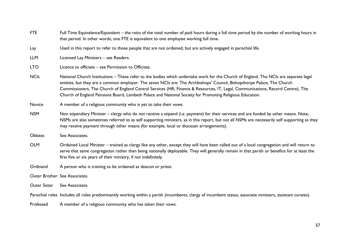| <b>FTE</b>          | Full Time Equivalence/Equivalent – the ratio of the total number of paid hours during a full time period by the number of working hours in<br>that period. In other words, one FTE is equivalent to one employee working full time.                                                                                                                                                                                                                                                                           |
|---------------------|---------------------------------------------------------------------------------------------------------------------------------------------------------------------------------------------------------------------------------------------------------------------------------------------------------------------------------------------------------------------------------------------------------------------------------------------------------------------------------------------------------------|
| Lay                 | Used in this report to refer to those people that are not ordained, but are actively engaged in parochial life.                                                                                                                                                                                                                                                                                                                                                                                               |
| <b>LLM</b>          | Licensed Lay Ministers - see Readers.                                                                                                                                                                                                                                                                                                                                                                                                                                                                         |
| <b>LTO</b>          | Licence to officiate – see Permission to Officiate.                                                                                                                                                                                                                                                                                                                                                                                                                                                           |
| <b>NCIs</b>         | National Church Institutions – These refer to the bodies which undertake work for the Church of England. The NCIs are separate legal<br>entities, but they are a common employer. The seven NCIs are: The Archbishops' Council, Bishopthorpe Palace, The Church<br>Commissioners, The Church of England Central Services (HR, Finance & Resources, IT, Legal, Communications, Record Centre), The<br>Church of England Pensions Board, Lambeth Palace and National Society for Promoting Religious Education. |
| Novice              | A member of a religious community who is yet to take their vows.                                                                                                                                                                                                                                                                                                                                                                                                                                              |
| <b>NSM</b>          | Non stipendiary Minister – clergy who do not receive a stipend (i.e. payment) for their services and are funded by other means. Note,<br>NSMs are also sometimes referred to as self supporting ministers, as in this report, but not all NSMs are necessarily self supporting as they<br>may receive payment through other means (for example, local or diocesan arrangements).                                                                                                                              |
| Oblates             | See Associates.                                                                                                                                                                                                                                                                                                                                                                                                                                                                                               |
| <b>OLM</b>          | Ordained Local Minister – trained as clergy like any other, except they will have been called out of a local congregation and will return to<br>serve that same congregation rather than being nationally deployable. They will generally remain in that parish or benefice for at least the<br>first five or six years of their ministry, if not indefinitely.                                                                                                                                               |
| Ordinand            | A person who is training to be ordained as deacon or priest.                                                                                                                                                                                                                                                                                                                                                                                                                                                  |
|                     | Outer Brother See Associates.                                                                                                                                                                                                                                                                                                                                                                                                                                                                                 |
| <b>Outer Sister</b> | See Associates.                                                                                                                                                                                                                                                                                                                                                                                                                                                                                               |
|                     | Parochial roles Includes all roles predominantly working within a parish (incumbents, clergy of incumbent status, associate ministers, assistant curates).                                                                                                                                                                                                                                                                                                                                                    |
| Professed           | A member of a religious community who has taken their vows.                                                                                                                                                                                                                                                                                                                                                                                                                                                   |